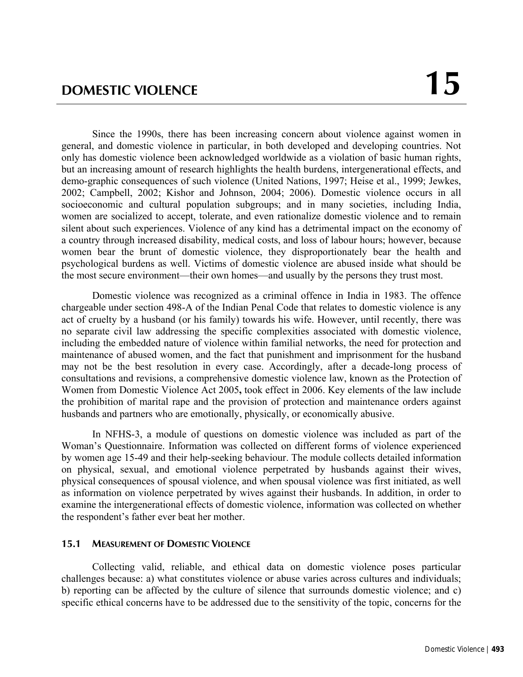Since the 1990s, there has been increasing concern about violence against women in general, and domestic violence in particular, in both developed and developing countries. Not only has domestic violence been acknowledged worldwide as a violation of basic human rights, but an increasing amount of research highlights the health burdens, intergenerational effects, and demo-graphic consequences of such violence (United Nations, 1997; Heise et al., 1999; Jewkes, 2002; Campbell, 2002; Kishor and Johnson, 2004; 2006). Domestic violence occurs in all socioeconomic and cultural population subgroups; and in many societies, including India, women are socialized to accept, tolerate, and even rationalize domestic violence and to remain silent about such experiences. Violence of any kind has a detrimental impact on the economy of a country through increased disability, medical costs, and loss of labour hours; however, because women bear the brunt of domestic violence, they disproportionately bear the health and psychological burdens as well. Victims of domestic violence are abused inside what should be the most secure environment—their own homes—and usually by the persons they trust most.

Domestic violence was recognized as a criminal offence in India in 1983. The offence chargeable under section 498-A of the Indian Penal Code that relates to domestic violence is any act of cruelty by a husband (or his family) towards his wife. However, until recently, there was no separate civil law addressing the specific complexities associated with domestic violence, including the embedded nature of violence within familial networks, the need for protection and maintenance of abused women, and the fact that punishment and imprisonment for the husband may not be the best resolution in every case. Accordingly, after a decade-long process of consultations and revisions, a comprehensive domestic violence law, known as the Protection of Women from Domestic Violence Act 2005**,** took effect in 2006. Key elements of the law include the prohibition of marital rape and the provision of protection and maintenance orders against husbands and partners who are emotionally, physically, or economically abusive.

In NFHS-3, a module of questions on domestic violence was included as part of the Woman's Questionnaire. Information was collected on different forms of violence experienced by women age 15-49 and their help-seeking behaviour. The module collects detailed information on physical, sexual, and emotional violence perpetrated by husbands against their wives, physical consequences of spousal violence, and when spousal violence was first initiated, as well as information on violence perpetrated by wives against their husbands. In addition, in order to examine the intergenerational effects of domestic violence, information was collected on whether the respondent's father ever beat her mother.

# **15.1 MEASUREMENT OF DOMESTIC VIOLENCE**

Collecting valid, reliable, and ethical data on domestic violence poses particular challenges because: a) what constitutes violence or abuse varies across cultures and individuals; b) reporting can be affected by the culture of silence that surrounds domestic violence; and c) specific ethical concerns have to be addressed due to the sensitivity of the topic, concerns for the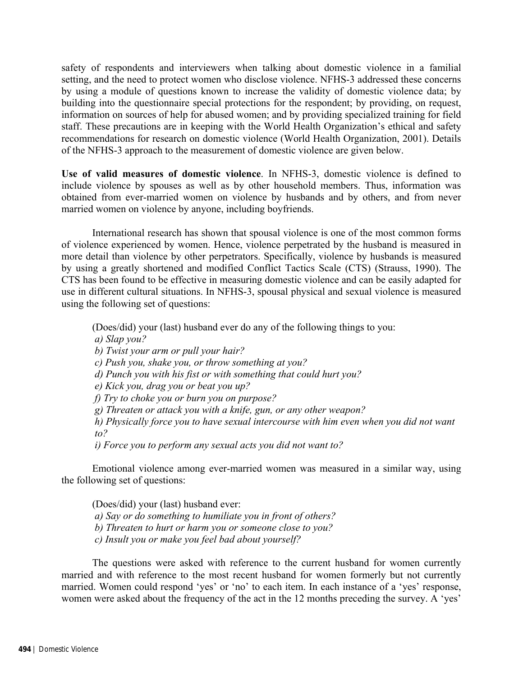safety of respondents and interviewers when talking about domestic violence in a familial setting, and the need to protect women who disclose violence. NFHS-3 addressed these concerns by using a module of questions known to increase the validity of domestic violence data; by building into the questionnaire special protections for the respondent; by providing, on request, information on sources of help for abused women; and by providing specialized training for field staff. These precautions are in keeping with the World Health Organization's ethical and safety recommendations for research on domestic violence (World Health Organization, 2001). Details of the NFHS-3 approach to the measurement of domestic violence are given below.

**Use of valid measures of domestic violence**. In NFHS-3, domestic violence is defined to include violence by spouses as well as by other household members. Thus, information was obtained from ever-married women on violence by husbands and by others, and from never married women on violence by anyone, including boyfriends.

International research has shown that spousal violence is one of the most common forms of violence experienced by women. Hence, violence perpetrated by the husband is measured in more detail than violence by other perpetrators. Specifically, violence by husbands is measured by using a greatly shortened and modified Conflict Tactics Scale (CTS) (Strauss, 1990). The CTS has been found to be effective in measuring domestic violence and can be easily adapted for use in different cultural situations. In NFHS-3, spousal physical and sexual violence is measured using the following set of questions:

(Does/did) your (last) husband ever do any of the following things to you:

 *a) Slap you?* 

 *b) Twist your arm or pull your hair?* 

 *c) Push you, shake you, or throw something at you?* 

 *d) Punch you with his fist or with something that could hurt you?* 

 *e) Kick you, drag you or beat you up?* 

 *f) Try to choke you or burn you on purpose?* 

 *g) Threaten or attack you with a knife, gun, or any other weapon?* 

 *h) Physically force you to have sexual intercourse with him even when you did not want to?* 

 *i) Force you to perform any sexual acts you did not want to?* 

Emotional violence among ever-married women was measured in a similar way, using the following set of questions:

(Does/did) your (last) husband ever:  *a) Say or do something to humiliate you in front of others? b) Threaten to hurt or harm you or someone close to you? c) Insult you or make you feel bad about yourself?* 

The questions were asked with reference to the current husband for women currently married and with reference to the most recent husband for women formerly but not currently married. Women could respond 'yes' or 'no' to each item. In each instance of a 'yes' response, women were asked about the frequency of the act in the 12 months preceding the survey. A 'yes'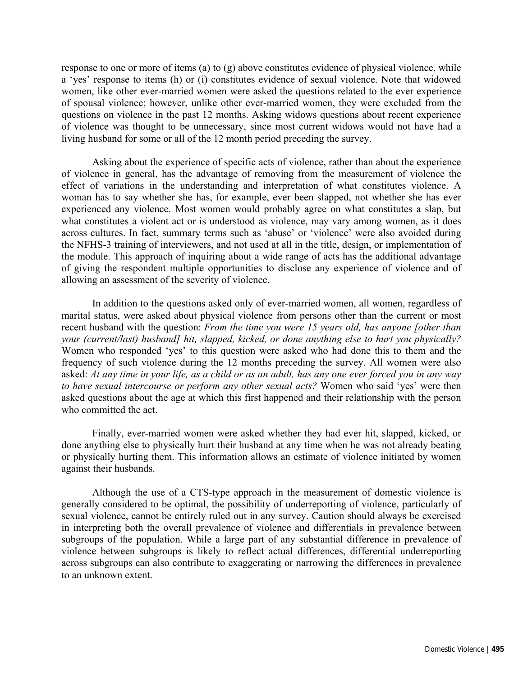response to one or more of items (a) to (g) above constitutes evidence of physical violence, while a 'yes' response to items (h) or (i) constitutes evidence of sexual violence. Note that widowed women, like other ever-married women were asked the questions related to the ever experience of spousal violence; however, unlike other ever-married women, they were excluded from the questions on violence in the past 12 months. Asking widows questions about recent experience of violence was thought to be unnecessary, since most current widows would not have had a living husband for some or all of the 12 month period preceding the survey.

Asking about the experience of specific acts of violence, rather than about the experience of violence in general, has the advantage of removing from the measurement of violence the effect of variations in the understanding and interpretation of what constitutes violence. A woman has to say whether she has, for example, ever been slapped, not whether she has ever experienced any violence. Most women would probably agree on what constitutes a slap, but what constitutes a violent act or is understood as violence, may vary among women, as it does across cultures. In fact, summary terms such as 'abuse' or 'violence' were also avoided during the NFHS-3 training of interviewers, and not used at all in the title, design, or implementation of the module. This approach of inquiring about a wide range of acts has the additional advantage of giving the respondent multiple opportunities to disclose any experience of violence and of allowing an assessment of the severity of violence.

In addition to the questions asked only of ever-married women, all women, regardless of marital status, were asked about physical violence from persons other than the current or most recent husband with the question: *From the time you were 15 years old, has anyone [other than your (current/last) husband] hit, slapped, kicked, or done anything else to hurt you physically?*  Women who responded 'yes' to this question were asked who had done this to them and the frequency of such violence during the 12 months preceding the survey. All women were also asked: *At any time in your life, as a child or as an adult, has any one ever forced you in any way to have sexual intercourse or perform any other sexual acts?* Women who said 'yes' were then asked questions about the age at which this first happened and their relationship with the person who committed the act.

Finally, ever-married women were asked whether they had ever hit, slapped, kicked, or done anything else to physically hurt their husband at any time when he was not already beating or physically hurting them. This information allows an estimate of violence initiated by women against their husbands.

Although the use of a CTS-type approach in the measurement of domestic violence is generally considered to be optimal, the possibility of underreporting of violence, particularly of sexual violence, cannot be entirely ruled out in any survey. Caution should always be exercised in interpreting both the overall prevalence of violence and differentials in prevalence between subgroups of the population. While a large part of any substantial difference in prevalence of violence between subgroups is likely to reflect actual differences, differential underreporting across subgroups can also contribute to exaggerating or narrowing the differences in prevalence to an unknown extent.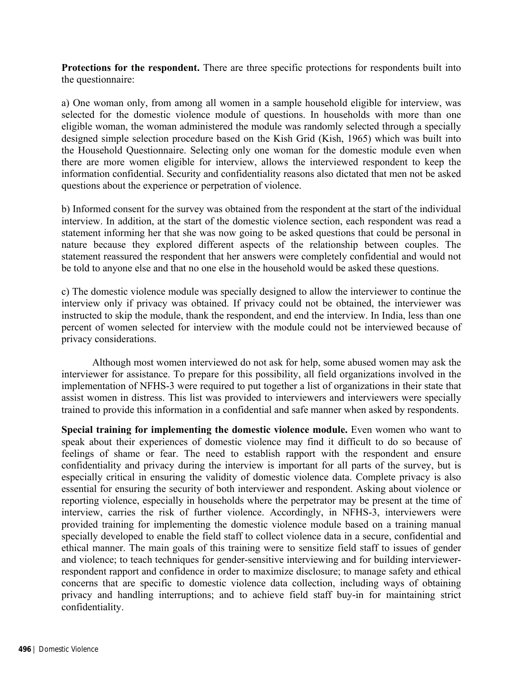**Protections for the respondent.** There are three specific protections for respondents built into the questionnaire:

a) One woman only, from among all women in a sample household eligible for interview, was selected for the domestic violence module of questions. In households with more than one eligible woman, the woman administered the module was randomly selected through a specially designed simple selection procedure based on the Kish Grid (Kish, 1965) which was built into the Household Questionnaire. Selecting only one woman for the domestic module even when there are more women eligible for interview, allows the interviewed respondent to keep the information confidential. Security and confidentiality reasons also dictated that men not be asked questions about the experience or perpetration of violence.

b) Informed consent for the survey was obtained from the respondent at the start of the individual interview. In addition, at the start of the domestic violence section, each respondent was read a statement informing her that she was now going to be asked questions that could be personal in nature because they explored different aspects of the relationship between couples. The statement reassured the respondent that her answers were completely confidential and would not be told to anyone else and that no one else in the household would be asked these questions.

c) The domestic violence module was specially designed to allow the interviewer to continue the interview only if privacy was obtained. If privacy could not be obtained, the interviewer was instructed to skip the module, thank the respondent, and end the interview. In India, less than one percent of women selected for interview with the module could not be interviewed because of privacy considerations.

 Although most women interviewed do not ask for help, some abused women may ask the interviewer for assistance. To prepare for this possibility, all field organizations involved in the implementation of NFHS-3 were required to put together a list of organizations in their state that assist women in distress. This list was provided to interviewers and interviewers were specially trained to provide this information in a confidential and safe manner when asked by respondents.

**Special training for implementing the domestic violence module.** Even women who want to speak about their experiences of domestic violence may find it difficult to do so because of feelings of shame or fear. The need to establish rapport with the respondent and ensure confidentiality and privacy during the interview is important for all parts of the survey, but is especially critical in ensuring the validity of domestic violence data. Complete privacy is also essential for ensuring the security of both interviewer and respondent. Asking about violence or reporting violence, especially in households where the perpetrator may be present at the time of interview, carries the risk of further violence. Accordingly, in NFHS-3, interviewers were provided training for implementing the domestic violence module based on a training manual specially developed to enable the field staff to collect violence data in a secure, confidential and ethical manner. The main goals of this training were to sensitize field staff to issues of gender and violence; to teach techniques for gender-sensitive interviewing and for building interviewerrespondent rapport and confidence in order to maximize disclosure; to manage safety and ethical concerns that are specific to domestic violence data collection, including ways of obtaining privacy and handling interruptions; and to achieve field staff buy-in for maintaining strict confidentiality.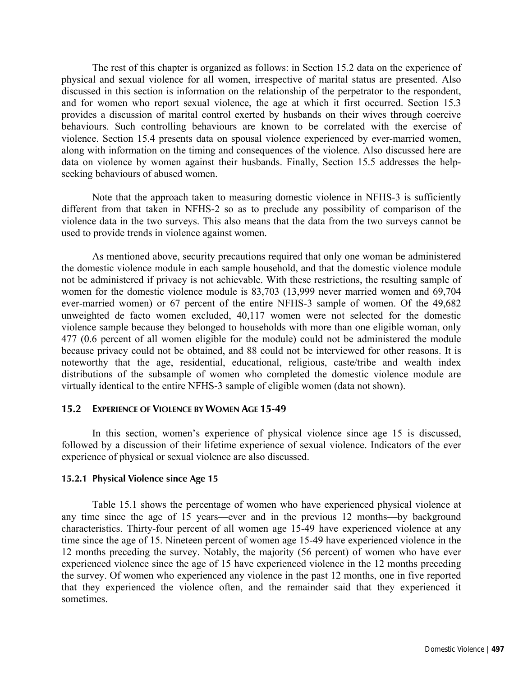The rest of this chapter is organized as follows: in Section 15.2 data on the experience of physical and sexual violence for all women, irrespective of marital status are presented. Also discussed in this section is information on the relationship of the perpetrator to the respondent, and for women who report sexual violence, the age at which it first occurred. Section 15.3 provides a discussion of marital control exerted by husbands on their wives through coercive behaviours. Such controlling behaviours are known to be correlated with the exercise of violence. Section 15.4 presents data on spousal violence experienced by ever-married women, along with information on the timing and consequences of the violence. Also discussed here are data on violence by women against their husbands. Finally, Section 15.5 addresses the helpseeking behaviours of abused women.

 Note that the approach taken to measuring domestic violence in NFHS-3 is sufficiently different from that taken in NFHS-2 so as to preclude any possibility of comparison of the violence data in the two surveys. This also means that the data from the two surveys cannot be used to provide trends in violence against women.

 As mentioned above, security precautions required that only one woman be administered the domestic violence module in each sample household, and that the domestic violence module not be administered if privacy is not achievable. With these restrictions, the resulting sample of women for the domestic violence module is 83,703 (13,999 never married women and 69,704 ever-married women) or 67 percent of the entire NFHS-3 sample of women. Of the 49,682 unweighted de facto women excluded, 40,117 women were not selected for the domestic violence sample because they belonged to households with more than one eligible woman, only 477 (0.6 percent of all women eligible for the module) could not be administered the module because privacy could not be obtained, and 88 could not be interviewed for other reasons. It is noteworthy that the age, residential, educational, religious, caste/tribe and wealth index distributions of the subsample of women who completed the domestic violence module are virtually identical to the entire NFHS-3 sample of eligible women (data not shown).

## **15.2 EXPERIENCE OF VIOLENCE BY WOMEN AGE 15-49**

In this section, women's experience of physical violence since age 15 is discussed, followed by a discussion of their lifetime experience of sexual violence. Indicators of the ever experience of physical or sexual violence are also discussed.

### **15.2.1 Physical Violence since Age 15**

Table 15.1 shows the percentage of women who have experienced physical violence at any time since the age of 15 years—ever and in the previous 12 months—by background characteristics. Thirty-four percent of all women age 15-49 have experienced violence at any time since the age of 15. Nineteen percent of women age 15-49 have experienced violence in the 12 months preceding the survey. Notably, the majority (56 percent) of women who have ever experienced violence since the age of 15 have experienced violence in the 12 months preceding the survey. Of women who experienced any violence in the past 12 months, one in five reported that they experienced the violence often, and the remainder said that they experienced it sometimes.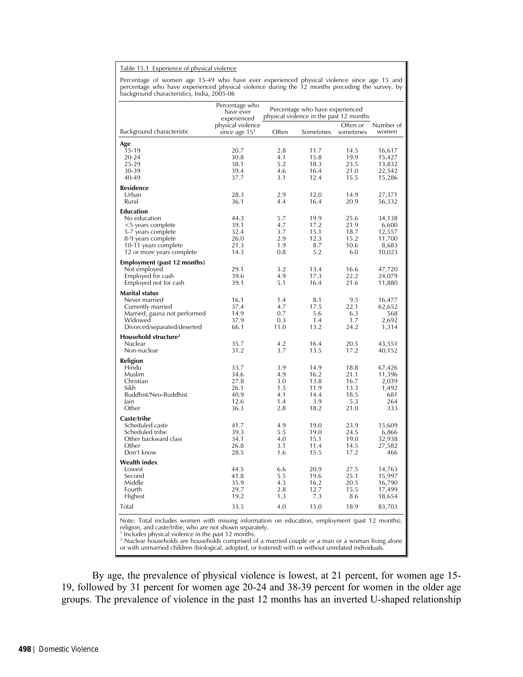#### Table 15.1 Experience of physical violence

Percentage of women age 15-49 who have ever experienced physical violence since age 15 and<br>percentage who have experienced physical violence during the 12 months preceding the survey, by<br>background characteristics, India,

|                                                                                                                                                            | Percentage who<br>have ever<br>experienced     |            | Percentage who have experienced<br>physical violence in the past 12 months |                       |                    |
|------------------------------------------------------------------------------------------------------------------------------------------------------------|------------------------------------------------|------------|----------------------------------------------------------------------------|-----------------------|--------------------|
| Background characteristic                                                                                                                                  | physical violence<br>since age 15 <sup>1</sup> | Often      | Sometimes                                                                  | Often or<br>sometimes | Number of<br>women |
| Age                                                                                                                                                        |                                                |            |                                                                            |                       |                    |
| 15-19                                                                                                                                                      | 20.7                                           | 2.8        | 11.7                                                                       | 14.5                  | 16,617             |
| 20-24                                                                                                                                                      | 30.8                                           | 4.1        | 15.8                                                                       | 19.9                  | 15,427             |
| 25-29                                                                                                                                                      | 38.1                                           | 5.2        | 18.3                                                                       | 23.5                  | 13,832             |
| 30-39<br>40-49                                                                                                                                             | 39.4<br>37.7                                   | 4.6<br>3.1 | 16.4<br>12.4                                                               | 21.0<br>15.5          | 22,542<br>15,286   |
|                                                                                                                                                            |                                                |            |                                                                            |                       |                    |
| Residence<br>Urban                                                                                                                                         | 28.3                                           | 2.9        | 12.0                                                                       | 14.9                  | 27,371             |
| Rural                                                                                                                                                      | 36.1                                           | 4.4        | 16.4                                                                       | 20.9                  | 56,332             |
| Education                                                                                                                                                  |                                                |            |                                                                            |                       |                    |
| No education                                                                                                                                               | 44.3                                           | 5.7        | 19.9                                                                       | 25.6                  | 34,138             |
| <5 years complete                                                                                                                                          | 39.1                                           | 4.7        | 17.2                                                                       | 21.9                  | 6,600              |
| 5-7 years complete                                                                                                                                         | 32.4                                           | 3.7        | 15.1                                                                       | 18.7                  | 12,557             |
| 8-9 years complete                                                                                                                                         | 26.0                                           | 2.9        | 12.3                                                                       | 15.2                  | 11,700             |
| 10-11 years complete                                                                                                                                       | 21.3                                           | 1.9        | 8.7                                                                        | 10.6                  | 8,683              |
| 12 or more years complete                                                                                                                                  | 14.3                                           | 0.8        | 5.2                                                                        | 6.0                   | 10,023             |
| Employment (past 12 months)                                                                                                                                |                                                |            |                                                                            |                       |                    |
| Not employed                                                                                                                                               | 29.1<br>39.6                                   | 3.2<br>4.9 | 13.4<br>17.3                                                               | 16.6<br>22.2          | 47,720             |
| Employed for cash<br>Employed not for cash                                                                                                                 | 39.1                                           | 5.1        | 16.4                                                                       | 21.6                  | 24,079<br>11,880   |
|                                                                                                                                                            |                                                |            |                                                                            |                       |                    |
| Marital status<br>Never married                                                                                                                            | 16.1                                           | 1.4        | 8.1                                                                        | 9.5                   | 16,477             |
| Currently married                                                                                                                                          | 37.4                                           | 4.7        | 17.5                                                                       | 22.1                  | 62,652             |
| Married, gauna not performed                                                                                                                               | 14.9                                           | 0.7        | 5.6                                                                        | 6.3                   | 568                |
| Widowed                                                                                                                                                    | 37.9                                           | 0.3        | 1.4                                                                        | 1.7                   | 2,692              |
| Divorced/separated/deserted                                                                                                                                | 66.1                                           | 11.0       | 13.2                                                                       | 24.2                  | 1,314              |
| Household structure <sup>2</sup>                                                                                                                           |                                                |            |                                                                            |                       |                    |
| Nuclear                                                                                                                                                    | 35.7                                           | 4.2        | 16.4                                                                       | 20.5                  | 43,551             |
| Non-nuclear                                                                                                                                                | 31.2                                           | 3.7        | 13.5                                                                       | 17.2                  | 40,152             |
| Religion                                                                                                                                                   |                                                |            |                                                                            |                       |                    |
| Hindu                                                                                                                                                      | 33.7                                           | 3.9        | 14.9                                                                       | 18.8                  | 67,426             |
| Muslim                                                                                                                                                     | 34.6                                           | 4.9        | 16.2                                                                       | 21.1                  | 11,396             |
| Christian<br>Sikh                                                                                                                                          | 27.8<br>26.1                                   | 3.0<br>1.5 | 13.8<br>11.9                                                               | 16.7<br>13.3          | 2,039<br>1,492     |
| Buddhist/Neo-Buddhist                                                                                                                                      | 40.9                                           | 4.1        | 14.4                                                                       | 18.5                  | 681                |
| Jain                                                                                                                                                       | 12.6                                           | 1.4        | 3.9                                                                        | 5.3                   | 264                |
| Other                                                                                                                                                      | 36.3                                           | 2.8        | 18.2                                                                       | 21.0                  | 333                |
| Caste/tribe                                                                                                                                                |                                                |            |                                                                            |                       |                    |
| Scheduled caste                                                                                                                                            | 41.7                                           | 4.9        | 19.0                                                                       | 23.9                  | 15,609             |
| Scheduled tribe                                                                                                                                            | 39.3                                           | 5.5        | 19.0                                                                       | 24.5                  | 6,866              |
| Other backward class                                                                                                                                       | 34.1                                           | 4.0        | 15.1                                                                       | 19.0                  | 32,938             |
| Other<br>Don't know                                                                                                                                        | 26.8<br>28.5                                   | 3.1<br>1.6 | 11.4<br>15.5                                                               | 14.5<br>17.2          | 27,582<br>466      |
|                                                                                                                                                            |                                                |            |                                                                            |                       |                    |
| Wealth index                                                                                                                                               |                                                |            |                                                                            |                       |                    |
| Lowest<br>Second                                                                                                                                           | 44.5<br>41.8                                   | 6.6<br>5.5 | 20.9<br>19.6                                                               | 27.5<br>25.1          | 14,763<br>15,997   |
| Middle                                                                                                                                                     | 35.9                                           | 4.3        | 16.2                                                                       | 20.5                  | 16,790             |
| Fourth                                                                                                                                                     | 29.7                                           | 2.8        | 12.7                                                                       | 15.5                  | 17,499             |
| Highest                                                                                                                                                    | 19.2                                           | 1.3        | 7.3                                                                        | 8.6                   | 18,654             |
| Total                                                                                                                                                      | 33.5                                           | 4.0        | 15.0                                                                       | 18.9                  | 83,703             |
|                                                                                                                                                            |                                                |            |                                                                            |                       |                    |
| Note: Total includes women with missing information on education, employment (past 12 months),<br>religion, and caste/tribe, who are not shown separately. |                                                |            |                                                                            |                       |                    |

<sup>1</sup> Includes physical violence in the past 12 months.

<sup>2</sup> Nuclear households are households comprised of a married couple or a man or a woman living alone or with unmarried children (biological, adopted, or fostered) with or without unrelated individuals.

By age, the prevalence of physical violence is lowest, at 21 percent, for women age 15- 19, followed by 31 percent for women age 20-24 and 38-39 percent for women in the older age groups. The prevalence of violence in the past 12 months has an inverted U-shaped relationship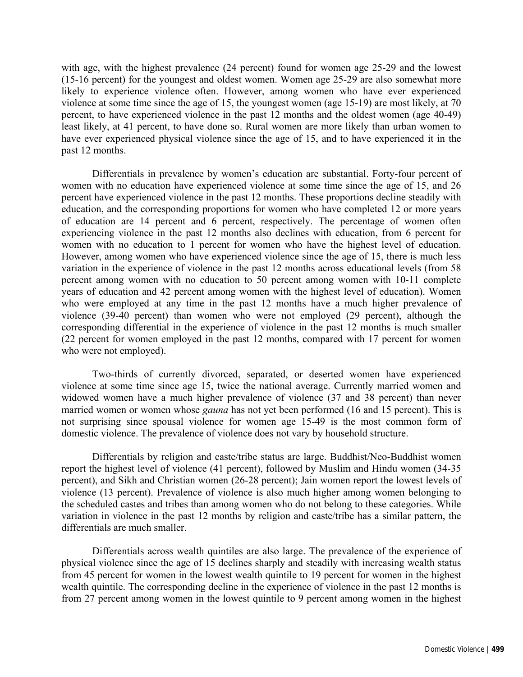with age, with the highest prevalence (24 percent) found for women age 25-29 and the lowest (15-16 percent) for the youngest and oldest women. Women age 25-29 are also somewhat more likely to experience violence often. However, among women who have ever experienced violence at some time since the age of 15, the youngest women (age 15-19) are most likely, at 70 percent, to have experienced violence in the past 12 months and the oldest women (age 40-49) least likely, at 41 percent, to have done so. Rural women are more likely than urban women to have ever experienced physical violence since the age of 15, and to have experienced it in the past 12 months.

Differentials in prevalence by women's education are substantial. Forty-four percent of women with no education have experienced violence at some time since the age of 15, and 26 percent have experienced violence in the past 12 months. These proportions decline steadily with education, and the corresponding proportions for women who have completed 12 or more years of education are 14 percent and 6 percent, respectively. The percentage of women often experiencing violence in the past 12 months also declines with education, from 6 percent for women with no education to 1 percent for women who have the highest level of education. However, among women who have experienced violence since the age of 15, there is much less variation in the experience of violence in the past 12 months across educational levels (from 58 percent among women with no education to 50 percent among women with 10-11 complete years of education and 42 percent among women with the highest level of education). Women who were employed at any time in the past 12 months have a much higher prevalence of violence (39-40 percent) than women who were not employed (29 percent), although the corresponding differential in the experience of violence in the past 12 months is much smaller (22 percent for women employed in the past 12 months, compared with 17 percent for women who were not employed).

Two-thirds of currently divorced, separated, or deserted women have experienced violence at some time since age 15, twice the national average. Currently married women and widowed women have a much higher prevalence of violence (37 and 38 percent) than never married women or women whose *gauna* has not yet been performed (16 and 15 percent). This is not surprising since spousal violence for women age 15-49 is the most common form of domestic violence. The prevalence of violence does not vary by household structure.

Differentials by religion and caste/tribe status are large. Buddhist/Neo-Buddhist women report the highest level of violence (41 percent), followed by Muslim and Hindu women (34-35 percent), and Sikh and Christian women (26-28 percent); Jain women report the lowest levels of violence (13 percent). Prevalence of violence is also much higher among women belonging to the scheduled castes and tribes than among women who do not belong to these categories. While variation in violence in the past 12 months by religion and caste/tribe has a similar pattern, the differentials are much smaller.

Differentials across wealth quintiles are also large. The prevalence of the experience of physical violence since the age of 15 declines sharply and steadily with increasing wealth status from 45 percent for women in the lowest wealth quintile to 19 percent for women in the highest wealth quintile. The corresponding decline in the experience of violence in the past 12 months is from 27 percent among women in the lowest quintile to 9 percent among women in the highest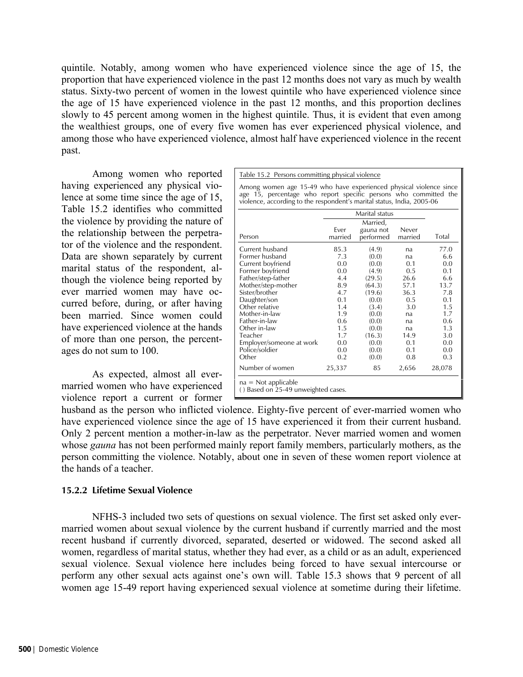quintile. Notably, among women who have experienced violence since the age of 15, the proportion that have experienced violence in the past 12 months does not vary as much by wealth status. Sixty-two percent of women in the lowest quintile who have experienced violence since the age of 15 have experienced violence in the past 12 months, and this proportion declines slowly to 45 percent among women in the highest quintile. Thus, it is evident that even among the wealthiest groups, one of every five women has ever experienced physical violence, and among those who have experienced violence, almost half have experienced violence in the recent past.

Among women who reported having experienced any physical violence at some time since the age of 15, Table 15.2 identifies who committed the violence by providing the nature of the relationship between the perpetrator of the violence and the respondent. Data are shown separately by current marital status of the respondent, although the violence being reported by ever married women may have occurred before, during, or after having been married. Since women could have experienced violence at the hands of more than one person, the percentages do not sum to 100.

As expected, almost all evermarried women who have experienced violence report a current or former Table 15.2 Persons committing physical violence

Among women age 15-49 who have experienced physical violence since age 15, percentage who report specific persons who committed the violence, according to the respondent's marital status, India, 2005-06

|                                                              |         | Marital status |         |        |  |  |  |  |
|--------------------------------------------------------------|---------|----------------|---------|--------|--|--|--|--|
|                                                              |         | Married,       |         |        |  |  |  |  |
|                                                              | Ever    | gauna not      | Never   |        |  |  |  |  |
| Person                                                       | married | performed      | married | Total  |  |  |  |  |
| Current husband                                              | 85.3    | (4.9)          | na      | 77.0   |  |  |  |  |
| Former husband                                               | 7.3     | (0.0)          | na      | 6.6    |  |  |  |  |
| Current boyfriend                                            | 0.0     | (0.0)          | 0.1     | 0.0    |  |  |  |  |
| Former boyfriend                                             | 0.0     | (4.9)          | 0.5     | 0.1    |  |  |  |  |
| Father/step-father                                           | 4.4     | (29.5)         | 26.6    | 6.6    |  |  |  |  |
| Mother/step-mother                                           | 8.9     | (64.3)         | 57.1    | 13.7   |  |  |  |  |
| Sister/brother                                               | 4.7     | (19.6)         | 36.3    | 7.8    |  |  |  |  |
| Daughter/son                                                 | 0.1     | (0.0)          | 0.5     | 0.1    |  |  |  |  |
| Other relative                                               | 1.4     | (3.4)          | 3.0     | 1.5    |  |  |  |  |
| Mother-in-law                                                | 1.9     | (0.0)          | na      | 1.7    |  |  |  |  |
| Father-in-law                                                | 0.6     | (0.0)          | na      | 0.6    |  |  |  |  |
| Other in-law                                                 | 1.5     | (0.0)          | na      | 1.3    |  |  |  |  |
| Teacher                                                      | 1.7     | (16.3)         | 14.9    | 3.0    |  |  |  |  |
| Employer/someone at work                                     | 0.0     | (0.0)          | 0.1     | 0.0    |  |  |  |  |
| Police/soldier                                               | 0.0     | (0.0)          | 0.1     | 0.0    |  |  |  |  |
| Other                                                        | 0.2     | (0.0)          | 0.8     | 0.3    |  |  |  |  |
| Number of women                                              | 25,337  | 85             | 2,656   | 28,078 |  |  |  |  |
| $na = Not applicable$<br>() Based on 25-49 unweighted cases. |         |                |         |        |  |  |  |  |

husband as the person who inflicted violence. Eighty-five percent of ever-married women who have experienced violence since the age of 15 have experienced it from their current husband. Only 2 percent mention a mother-in-law as the perpetrator. Never married women and women whose *gauna* has not been performed mainly report family members, particularly mothers, as the person committing the violence. Notably, about one in seven of these women report violence at the hands of a teacher.

# **15.2.2 Lifetime Sexual Violence**

 NFHS-3 included two sets of questions on sexual violence. The first set asked only evermarried women about sexual violence by the current husband if currently married and the most recent husband if currently divorced, separated, deserted or widowed. The second asked all women, regardless of marital status, whether they had ever, as a child or as an adult, experienced sexual violence. Sexual violence here includes being forced to have sexual intercourse or perform any other sexual acts against one's own will. Table 15.3 shows that 9 percent of all women age 15-49 report having experienced sexual violence at sometime during their lifetime.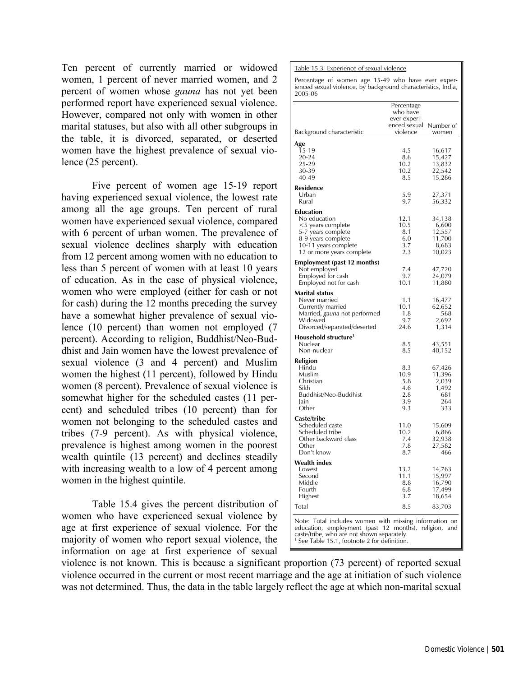Ten percent of currently married or widowed women, 1 percent of never married women, and 2 percent of women whose *gauna* has not yet been performed report have experienced sexual violence. However, compared not only with women in other marital statuses, but also with all other subgroups in the table, it is divorced, separated, or deserted women have the highest prevalence of sexual violence (25 percent).

 Five percent of women age 15-19 report having experienced sexual violence, the lowest rate among all the age groups. Ten percent of rural women have experienced sexual violence, compared with 6 percent of urban women. The prevalence of sexual violence declines sharply with education from 12 percent among women with no education to less than 5 percent of women with at least 10 years of education. As in the case of physical violence, women who were employed (either for cash or not for cash) during the 12 months preceding the survey have a somewhat higher prevalence of sexual violence (10 percent) than women not employed (7 percent). According to religion, Buddhist/Neo-Buddhist and Jain women have the lowest prevalence of sexual violence (3 and 4 percent) and Muslim women the highest (11 percent), followed by Hindu women (8 percent). Prevalence of sexual violence is somewhat higher for the scheduled castes (11 percent) and scheduled tribes (10 percent) than for women not belonging to the scheduled castes and tribes (7-9 percent). As with physical violence, prevalence is highest among women in the poorest wealth quintile (13 percent) and declines steadily with increasing wealth to a low of 4 percent among women in the highest quintile.

 Table 15.4 gives the percent distribution of women who have experienced sexual violence by age at first experience of sexual violence. For the majority of women who report sexual violence, the information on age at first experience of sexual Table 15.3 Experience of sexual violence

Percentage of women age 15-49 who have ever exper-ienced sexual violence, by background characteristics, India,

|                                                        | Percentage<br>who have<br>ever experi- |                                                   |
|--------------------------------------------------------|----------------------------------------|---------------------------------------------------|
| Background characteristic                              | enced sexual<br>violence               | Number of<br>women                                |
| Age                                                    |                                        |                                                   |
| 15-19                                                  | 4.5                                    | 16,617                                            |
| 20-24                                                  | 8.6                                    | 15,427                                            |
| 25-29                                                  | 10.2                                   | 13,832                                            |
| 30-39<br>40-49                                         | 10.2<br>8.5                            | 22,542                                            |
|                                                        |                                        | 15,286                                            |
| Residence<br>Urban                                     | 5.9                                    | 27,371                                            |
| Rural                                                  | 9.7                                    | 56,332                                            |
| Education                                              |                                        |                                                   |
| No education                                           | 12.1                                   | 34,138                                            |
| <5 years complete                                      | 10.5                                   | 6,600                                             |
| 5-7 years complete                                     | 8.1                                    | 12,557                                            |
| 8-9 years complete                                     | 6.0                                    | 11,700                                            |
| 10-11 years complete                                   | 3.7                                    | 8,683                                             |
| 12 or more years complete                              | 2.3                                    | 10,023                                            |
| <b>Employment (past 12 months)</b>                     |                                        |                                                   |
| Not employed                                           | 7.4                                    | 47,720                                            |
| Employed for cash                                      | 9.7                                    | 24,079                                            |
| Employed not for cash                                  | 10.1                                   | 11,880                                            |
| Marital status                                         |                                        |                                                   |
| Never married                                          | 1.1<br>10.1                            | 16,477<br>62,652                                  |
| Currently married                                      | 1.8                                    | 568                                               |
| Married, gauna not performed<br>Widowed                |                                        |                                                   |
| Divorced/separated/deserted                            | 9.7<br>24.6                            | 2,692<br>1,314                                    |
| Household structure <sup>1</sup>                       |                                        |                                                   |
| Nuclear                                                | 8.5                                    | 43,551                                            |
| Non-nuclear                                            | 8.5                                    | 40,152                                            |
| Religion                                               |                                        |                                                   |
| Hindu                                                  | 8.3                                    | 67,426                                            |
| Muslim                                                 | 10.9                                   | 11,396                                            |
| Christian                                              | 5.8                                    | 2,039                                             |
| Sikh                                                   | 4.6                                    | 1,492                                             |
| Buddhist/Neo-Buddhist                                  | 2.8                                    | 681                                               |
| Jain                                                   | 3.9                                    | 264                                               |
| Other                                                  | 9.3                                    | 333                                               |
| Caste/tribe                                            |                                        |                                                   |
| Scheduled caste                                        | 11.0                                   | 15,609                                            |
| Scheduled tribe                                        | 10.2                                   | 6,866                                             |
| Other backward class<br>Other                          | 7.4                                    | 32,938                                            |
| Don't know                                             | 7.8<br>8.7                             | 27,582<br>466                                     |
| Wealth index                                           |                                        |                                                   |
| Lowest                                                 | 13.2                                   | 14,763                                            |
| Second                                                 | l I . I                                | 15,997                                            |
| Middle                                                 | 8.8                                    | 16,790                                            |
| Fourth                                                 | 6.8                                    | 17,499                                            |
| Highest                                                | 3.7                                    | 18,654                                            |
| Total                                                  | 8.5                                    | 83,703                                            |
|                                                        |                                        |                                                   |
| Note: Total includes women with missing information on |                                        | education, employment (past 12 months), religion, |

violence is not known. This is because a significant proportion (73 percent) of reported sexual violence occurred in the current or most recent marriage and the age at initiation of such violence was not determined. Thus, the data in the table largely reflect the age at which non-marital sexual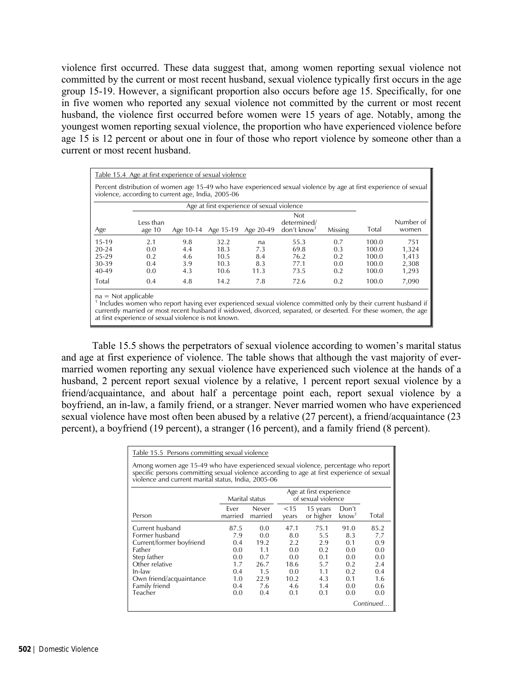violence first occurred. These data suggest that, among women reporting sexual violence not committed by the current or most recent husband, sexual violence typically first occurs in the age group 15-19. However, a significant proportion also occurs before age 15. Specifically, for one in five women who reported any sexual violence not committed by the current or most recent husband, the violence first occurred before women were 15 years of age. Notably, among the youngest women reporting sexual violence, the proportion who have experienced violence before age 15 is 12 percent or about one in four of those who report violence by someone other than a current or most recent husband.

| Table 15.4 Age at first experience of sexual violence                                                                                                                   |                                                                                                                                                                                                                                                                   |           |           |           |                                                 |         |       |                    |
|-------------------------------------------------------------------------------------------------------------------------------------------------------------------------|-------------------------------------------------------------------------------------------------------------------------------------------------------------------------------------------------------------------------------------------------------------------|-----------|-----------|-----------|-------------------------------------------------|---------|-------|--------------------|
| Percent distribution of women age 15-49 who have experienced sexual violence by age at first experience of sexual<br>violence, according to current age, India, 2005-06 |                                                                                                                                                                                                                                                                   |           |           |           |                                                 |         |       |                    |
| Age at first experience of sexual violence                                                                                                                              |                                                                                                                                                                                                                                                                   |           |           |           |                                                 |         |       |                    |
| Age                                                                                                                                                                     | Less than<br>age $10$                                                                                                                                                                                                                                             | Age 10-14 | Age 15-19 | Age 20-49 | Not<br>determined/<br>$don't$ know <sup>1</sup> | Missing | Total | Number of<br>women |
| $15-19$                                                                                                                                                                 | 2.1                                                                                                                                                                                                                                                               | 9.8       | 32.2      | na        | 55.3                                            | 0.7     | 100.0 | 751                |
| $20 - 24$                                                                                                                                                               | 0.0                                                                                                                                                                                                                                                               | 4.4       | 18.3      | 7.3       | 69.8                                            | 0.3     | 100.0 | 1,324              |
| 25-29                                                                                                                                                                   | 0.2                                                                                                                                                                                                                                                               | 4.6       | 10.5      | 8.4       | 76.2                                            | 0.2     | 100.0 | 1,413              |
| 30-39                                                                                                                                                                   | 0.4                                                                                                                                                                                                                                                               | 3.9       | 10.3      | 8.3       | 77.1                                            | 0.0     | 100.0 | 2,308              |
| 40-49                                                                                                                                                                   | 0.0                                                                                                                                                                                                                                                               | 4.3       | 10.6      | 11.3      | 73.5                                            | 0.2     | 100.0 | 1,293              |
| Total                                                                                                                                                                   | 0.4                                                                                                                                                                                                                                                               | 4.8       | 14.2      | 7.8       | 72.6                                            | 0.2     | 100.0 | 7,090              |
|                                                                                                                                                                         | $na = Not applicable$<br><sup>1</sup> Includes women who report having ever experienced sexual violence committed only by their current husband if<br>currently married or most recont bushand if widowed diversed separated or deserted. For these wemen the age |           |           |           |                                                 |         |       |                    |

ntly married or most recent husband if widowed, divorced,  $\,$ at first experience of sexual violence is not known.

 Table 15.5 shows the perpetrators of sexual violence according to women's marital status and age at first experience of violence. The table shows that although the vast majority of evermarried women reporting any sexual violence have experienced such violence at the hands of a husband, 2 percent report sexual violence by a relative, 1 percent report sexual violence by a friend/acquaintance, and about half a percentage point each, report sexual violence by a boyfriend, an in-law, a family friend, or a stranger. Never married women who have experienced sexual violence have most often been abused by a relative (27 percent), a friend/acquaintance (23 percent), a boyfriend (19 percent), a stranger (16 percent), and a family friend (8 percent).

| Table 15.5 Persons committing sexual violence                                                                                                                                                                                          |                 |                  |                 |                       |                               |           |  |
|----------------------------------------------------------------------------------------------------------------------------------------------------------------------------------------------------------------------------------------|-----------------|------------------|-----------------|-----------------------|-------------------------------|-----------|--|
| Among women age 15-49 who have experienced sexual violence, percentage who report<br>specific persons committing sexual violence according to age at first experience of sexual<br>violence and current marital status, India, 2005-06 |                 |                  |                 |                       |                               |           |  |
| Age at first experience<br>of sexual violence<br>Marital status                                                                                                                                                                        |                 |                  |                 |                       |                               |           |  |
| Person                                                                                                                                                                                                                                 | Ever<br>married | Never<br>married | $<$ 15<br>years | 15 years<br>or higher | Don't<br>$k$ now <sup>1</sup> | Total     |  |
| Current husband                                                                                                                                                                                                                        | 87.5            | 0.0              | 47.1            | 75.1                  | 91.0                          | 85.2      |  |
| Former husband                                                                                                                                                                                                                         | 7.9             | 0.0              | 8.0             | 5.5                   | 8.3                           | 7.7       |  |
| Current/former boyfriend                                                                                                                                                                                                               | 0.4             | 19.2             | 2.2             | 2.9                   | 0.1                           | 0.9       |  |
| Father                                                                                                                                                                                                                                 | 0.0             | 1.1              | 0.0             | 0.2                   | 0.0                           | 0.0       |  |
| Step father                                                                                                                                                                                                                            | 0.0             | 0.7              | 0.0             | 0.1                   | 0.0                           | 0.0       |  |
| Other relative                                                                                                                                                                                                                         | 1.7             | 26.7             | 18.6            | 5.7                   | 0.2                           | 2.4       |  |
| In-law                                                                                                                                                                                                                                 | 0.4             | 1.5              | 0.0             | 1.1                   | 0.2                           | 0.4       |  |
| Own friend/acquaintance                                                                                                                                                                                                                | 1.0             | 22.9             | 10.2            | 4.3                   | 0.1                           | 1.6       |  |
| Family friend                                                                                                                                                                                                                          | 0.4             | 7.6              | 4.6             | 1.4                   | 0.0                           | 0.6       |  |
| Teacher                                                                                                                                                                                                                                | 0.0             | 0.4              | 0.1             | 0.1                   | 0.0                           | 0.0       |  |
|                                                                                                                                                                                                                                        |                 |                  |                 |                       |                               | Continued |  |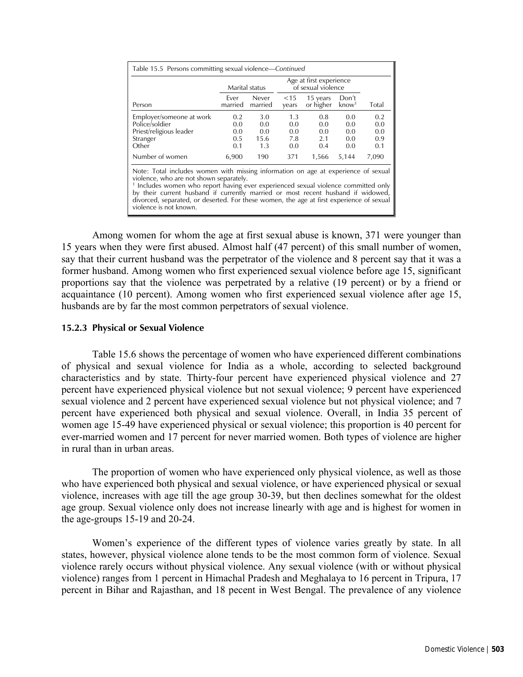| Table 15.5 Persons committing sexual violence—Continued                                                                                                                                                                                                                                                           |                                 | Marital status                   |                                 | Age at first experience<br>of sexual violence |                                 |                                 |  |
|-------------------------------------------------------------------------------------------------------------------------------------------------------------------------------------------------------------------------------------------------------------------------------------------------------------------|---------------------------------|----------------------------------|---------------------------------|-----------------------------------------------|---------------------------------|---------------------------------|--|
| Person                                                                                                                                                                                                                                                                                                            | Ever<br>married                 | Never<br>married                 | $<$ 15<br>years                 | 15 years<br>or higher                         | Don't<br>$k$ now <sup>1</sup>   | Total                           |  |
| Employer/someone at work<br>Police/soldier<br>Priest/religious leader<br>Stranger<br>Other                                                                                                                                                                                                                        | 0.2<br>0.0<br>0.0<br>0.5<br>0.1 | 3.0<br>0.0<br>0.0<br>15.6<br>1.3 | 1.3<br>0.0<br>0.0<br>7.8<br>0.0 | 0.8<br>0.0<br>0.0<br>2.1<br>0.4               | 0.0<br>0.0<br>0.0<br>0.0<br>0.0 | 0.2<br>0.0<br>0.0<br>0.9<br>0.1 |  |
| Number of women                                                                                                                                                                                                                                                                                                   | 6,900                           | 190                              | 371                             | 1.566                                         | 5,144                           | 7,090                           |  |
| Note: Total includes women with missing information on age at experience of sexual<br>violence, who are not shown separately.<br><sup>1</sup> Includes women who report having ever experienced sexual violence committed only<br>by their current bushand if currently married or most recent bushand if widowed |                                 |                                  |                                 |                                               |                                 |                                 |  |

ently married or most recent husband divorced, separated, or deserted. For these women, the age at first experience of sexual violence is not known.

 Among women for whom the age at first sexual abuse is known, 371 were younger than 15 years when they were first abused. Almost half (47 percent) of this small number of women, say that their current husband was the perpetrator of the violence and 8 percent say that it was a former husband. Among women who first experienced sexual violence before age 15, significant proportions say that the violence was perpetrated by a relative (19 percent) or by a friend or acquaintance (10 percent). Among women who first experienced sexual violence after age 15, husbands are by far the most common perpetrators of sexual violence.

## **15.2.3 Physical or Sexual Violence**

 Table 15.6 shows the percentage of women who have experienced different combinations of physical and sexual violence for India as a whole, according to selected background characteristics and by state. Thirty-four percent have experienced physical violence and 27 percent have experienced physical violence but not sexual violence; 9 percent have experienced sexual violence and 2 percent have experienced sexual violence but not physical violence; and 7 percent have experienced both physical and sexual violence. Overall, in India 35 percent of women age 15-49 have experienced physical or sexual violence; this proportion is 40 percent for ever-married women and 17 percent for never married women. Both types of violence are higher in rural than in urban areas.

 The proportion of women who have experienced only physical violence, as well as those who have experienced both physical and sexual violence, or have experienced physical or sexual violence, increases with age till the age group 30-39, but then declines somewhat for the oldest age group. Sexual violence only does not increase linearly with age and is highest for women in the age-groups 15-19 and 20-24.

 Women's experience of the different types of violence varies greatly by state. In all states, however, physical violence alone tends to be the most common form of violence. Sexual violence rarely occurs without physical violence. Any sexual violence (with or without physical violence) ranges from 1 percent in Himachal Pradesh and Meghalaya to 16 percent in Tripura, 17 percent in Bihar and Rajasthan, and 18 pecent in West Bengal. The prevalence of any violence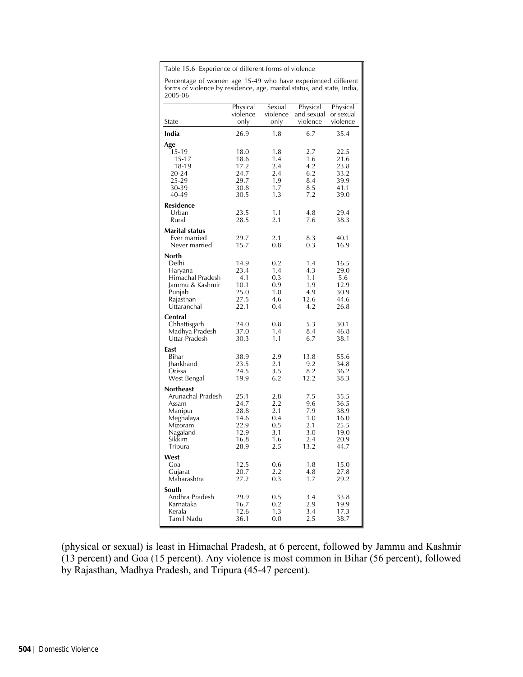Table 15.6 Experience of different forms of violence

Percentage of women age 15-49 who have experienced different forms of violence by residence, age, marital status, and state, India, 2005-06

| ∠∪∪J-∪∪                         |                      |                    |                        |                       |
|---------------------------------|----------------------|--------------------|------------------------|-----------------------|
|                                 | Physical<br>violence | Sexual<br>violence | Physical<br>and sexual | Physical<br>or sexual |
| State                           | only                 | only               | violence               | violence              |
| India                           | 26.9                 | 1.8                | 6.7                    | 35.4                  |
| Age                             |                      |                    |                        |                       |
| 15-19                           | 18.0                 | 1.8                | 2.7                    | 22.5                  |
| $15 - 17$                       | 18.6                 | 1.4                | 1.6                    | 21.6                  |
| 18-19                           | 17.2                 | 2.4                | 4.2                    | 23.8                  |
| 20-24                           | 24.7<br>29.7         | 2.4<br>1.9         | 6.2<br>8.4             | 33.2<br>39.9          |
| 25-29<br>30-39                  | 30.8                 | 1.7                | 8.5                    | 41.1                  |
| 40-49                           | 30.5                 | 1.3                | 7.2                    | 39.0                  |
| <b>Residence</b>                |                      |                    |                        |                       |
| Urban                           | 23.5                 | 1.1                | 4.8                    | 29.4                  |
| Rural                           | 28.5                 | 2.1                | 7.6                    | 38.3                  |
| <b>Marital status</b>           |                      |                    |                        |                       |
| Ever married                    | 29.7                 | 2.1                | 8.3<br>0.3             | 40.1                  |
| Never married                   | 15.7                 | 0.8                |                        | 16.9                  |
| North<br>Delhi                  | 14.9                 | 0.2                | 1.4                    | 16.5                  |
| Haryana                         | 23.4                 | 1.4                | 4.3                    | 29.0                  |
| Himachal Pradesh                | 4.1                  | 0.3                | 1.1                    | 5.6                   |
| Jammu & Kashmir                 | 10.1                 | 0.9                | 1.9                    | 12.9                  |
| Punjab                          | 25.0                 | 1.0                | 4.9                    | 30.9                  |
| Rajasthan                       | 27.5                 | 4.6                | 12.6                   | 44.6                  |
| Uttaranchal                     | 22.1                 | 0.4                | 4.2                    | 26.8                  |
| Central                         |                      |                    |                        |                       |
| Chhattisgarh                    | 24.0                 | 0.8                | 5.3                    | 30.1                  |
| Madhya Pradesh<br>Uttar Pradesh | 37.0<br>30.3         | 1.4<br>1.1         | 8.4<br>6.7             | 46.8<br>38.1          |
|                                 |                      |                    |                        |                       |
| East<br>Bihar                   | 38.9                 | 2.9                | 13.8                   | 55.6                  |
| <b>Iharkhand</b>                | 23.5                 | 2.1                | 9.2                    | 34.8                  |
| Orissa                          | 24.5                 | 3.5                | 8.2                    | 36.2                  |
| West Bengal                     | 19.9                 | 6.2                | 12.2                   | 38.3                  |
| <b>Northeast</b>                |                      |                    |                        |                       |
| Arunachal Pradesh               | 25.1                 | 2.8                | 7.5                    | 35.5                  |
| Assam                           | 24.7                 | 2.2                | 9.6                    | 36.5                  |
| Manipur                         | 28.8                 | 2.1                | 7.9                    | 38.9                  |
| Meghalaya                       | 14.6                 | 0.4                | 1.0                    | 16.0                  |
| Mizoram                         | 22.9                 | 0.5                | 2.1                    | 25.5                  |
| Nagaland                        | 12.9                 | 3.1                | 3.0                    | 19.0                  |
| Sikkim                          | 16.8                 | 1.6                | 2.4                    | 20.9                  |
| Tripura                         | 28.9                 | 2.5                | 13.2                   | 44.7                  |
| West<br>Goa                     | 12.5                 | 0.6                | 1.8                    | 15.0                  |
| Gujarat                         | 20.7                 | 2.2                | 4.8                    | 27.8                  |
| Maharashtra                     | 27.2                 | 0.3                | 1.7                    | 29.2                  |
| South                           |                      |                    |                        |                       |
| Andhra Pradesh                  | 29.9                 | 0.5                | 3.4                    | 33.8                  |
| Karnataka                       | 16.7                 | 0.2                | 2.9                    | 19.9                  |
| Kerala                          | 12.6                 | 1.3                | 3.4                    | 17.3                  |
| Tamil Nadu                      | 36.1                 | 0.0                | 2.5                    | 38.7                  |

(physical or sexual) is least in Himachal Pradesh, at 6 percent, followed by Jammu and Kashmir (13 percent) and Goa (15 percent). Any violence is most common in Bihar (56 percent), followed by Rajasthan, Madhya Pradesh, and Tripura (45-47 percent).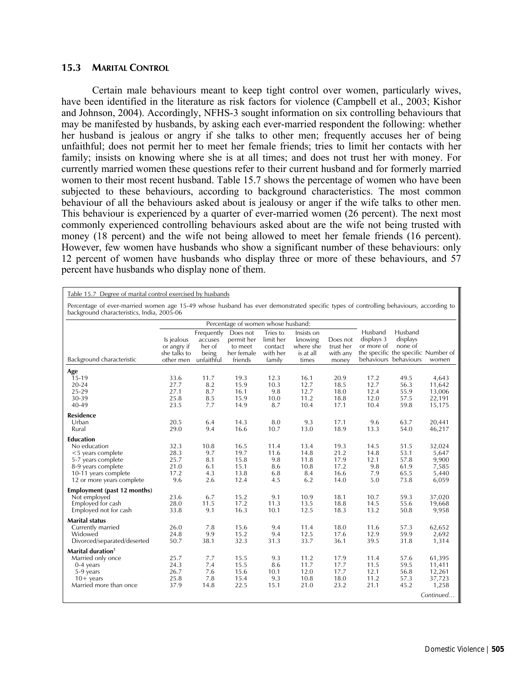## **15.3 MARITAL CONTROL**

 Certain male behaviours meant to keep tight control over women, particularly wives, have been identified in the literature as risk factors for violence (Campbell et al., 2003; Kishor and Johnson, 2004). Accordingly, NFHS-3 sought information on six controlling behaviours that may be manifested by husbands, by asking each ever-married respondent the following: whether her husband is jealous or angry if she talks to other men; frequently accuses her of being unfaithful; does not permit her to meet her female friends; tries to limit her contacts with her family; insists on knowing where she is at all times; and does not trust her with money. For currently married women these questions refer to their current husband and for formerly married women to their most recent husband. Table 15.7 shows the percentage of women who have been subjected to these behaviours, according to background characteristics. The most common behaviour of all the behaviours asked about is jealousy or anger if the wife talks to other men. This behaviour is experienced by a quarter of ever-married women (26 percent). The next most commonly experienced controlling behaviours asked about are the wife not being trusted with money (18 percent) and the wife not being allowed to meet her female friends (16 percent). However, few women have husbands who show a significant number of these behaviours: only 12 percent of women have husbands who display three or more of these behaviours, and 57 percent have husbands who display none of them.

| Table 15.7 Degree of marital control exercised by husbands                                                                                             |                                                                                                                                                                                     |                                                        |                                                            |                                                        |                                                          |                                              |                                           |                                                                                                |                                                            |  |
|--------------------------------------------------------------------------------------------------------------------------------------------------------|-------------------------------------------------------------------------------------------------------------------------------------------------------------------------------------|--------------------------------------------------------|------------------------------------------------------------|--------------------------------------------------------|----------------------------------------------------------|----------------------------------------------|-------------------------------------------|------------------------------------------------------------------------------------------------|------------------------------------------------------------|--|
|                                                                                                                                                        | Percentage of ever-married women age 15-49 whose husband has ever demonstrated specific types of controlling behaviours, according to<br>background characteristics, India, 2005-06 |                                                        |                                                            |                                                        |                                                          |                                              |                                           |                                                                                                |                                                            |  |
|                                                                                                                                                        |                                                                                                                                                                                     |                                                        | Percentage of women whose husband:                         |                                                        |                                                          |                                              |                                           |                                                                                                |                                                            |  |
| Background characteristic                                                                                                                              | Is jealous<br>or angry if<br>she talks to<br>other men                                                                                                                              | Frequently<br>accuses<br>her of<br>being<br>unfaithful | Does not<br>permit her<br>to meet<br>her female<br>friends | Tries to<br>limit her<br>contact<br>with her<br>family | Insists on<br>knowing<br>where she<br>is at all<br>times | Does not<br>trust her<br>with any<br>money   | Husband<br>displays 3<br>or more of       | Husband<br>displays<br>none of<br>the specific the specific Number of<br>behaviours behaviours | women                                                      |  |
| Age<br>$15-19$<br>$20 - 24$<br>25-29<br>30-39<br>40-49                                                                                                 | 33.6<br>27.7<br>27.1<br>25.8<br>23.5                                                                                                                                                | 11.7<br>8.2<br>8.7<br>8.5<br>7.7                       | 19.3<br>15.9<br>16.1<br>15.9<br>14.9                       | 12.3<br>10.3<br>9.8<br>10.0<br>8.7                     | 16.1<br>12.7<br>12.7<br>11.2<br>10.4                     | 20.9<br>18.5<br>18.0<br>18.8<br>17.1         | 17.2<br>12.7<br>12.4<br>12.0<br>10.4      | 49.5<br>56.3<br>55.9<br>57.5<br>59.8                                                           | 4,643<br>11,642<br>13,006<br>22,191<br>15,175              |  |
| <b>Residence</b><br>Urban<br>Rural                                                                                                                     | 20.5<br>29.0                                                                                                                                                                        | 6.4<br>9.4                                             | 14.3<br>16.6                                               | 8.0<br>10.7                                            | 9.3<br>13.0                                              | 17.1<br>18.9                                 | 9.6<br>13.3                               | 63.7<br>54.0                                                                                   | 20,441<br>46,217                                           |  |
| <b>Education</b><br>No education<br><5 years complete<br>5-7 years complete<br>8-9 years complete<br>10-11 years complete<br>12 or more years complete | 32.3<br>28.3<br>25.7<br>21.0<br>17.2<br>9.6                                                                                                                                         | 10.8<br>9.7<br>8.1<br>6.1<br>4.3<br>2.6                | 16.5<br>19.7<br>15.8<br>15.1<br>13.8<br>12.4               | 11.4<br>11.6<br>9.8<br>8.6<br>6.8<br>4.5               | 13.4<br>14.8<br>11.8<br>10.8<br>8.4<br>6.2               | 19.3<br>21.2<br>17.9<br>17.2<br>16.6<br>14.0 | 14.5<br>14.8<br>12.1<br>9.8<br>7.9<br>5.0 | 51.5<br>53.1<br>57.8<br>61.9<br>65.5<br>73.8                                                   | 32,024<br>5,647<br>9,900<br>7,585<br>5,440<br>6,059        |  |
| Employment (past 12 months)<br>Not employed<br>Employed for cash<br>Employed not for cash                                                              | 23.6<br>28.0<br>33.8                                                                                                                                                                | 6.7<br>11.5<br>9.1                                     | 15.2<br>17.2<br>16.3                                       | 9.1<br>11.3<br>10.1                                    | 10.9<br>13.5<br>12.5                                     | 18.1<br>18.8<br>18.3                         | 10.7<br>14.5<br>13.2                      | 59.3<br>55.6<br>50.8                                                                           | 37,020<br>19,668<br>9,958                                  |  |
| <b>Marital status</b><br>Currently married<br>Widowed<br>Divorced/separated/deserted                                                                   | 26.0<br>24.8<br>50.7                                                                                                                                                                | 7.8<br>9.9<br>38.1                                     | 15.6<br>15.2<br>32.3                                       | 9.4<br>9.4<br>31.3                                     | 11.4<br>12.5<br>33.7                                     | 18.0<br>17.6<br>36.1                         | 11.6<br>12.9<br>39.5                      | 57.3<br>59.9<br>31.8                                                                           | 62,652<br>2,692<br>1,314                                   |  |
| Marital duration <sup>1</sup><br>Married only once<br>$0-4$ years<br>5-9 years<br>$10+$ years<br>Married more than once                                | 25.7<br>24.3<br>26.7<br>25.8<br>37.9                                                                                                                                                | 7.7<br>7.4<br>7.6<br>7.8<br>14.8                       | 15.5<br>15.5<br>15.6<br>15.4<br>22.5                       | 9.3<br>8.6<br>10.1<br>9.3<br>15.1                      | 11.2<br>11.7<br>12.0<br>10.8<br>21.0                     | 17.9<br>17.7<br>17.7<br>18.0<br>23.2         | 11.4<br>11.5<br>12.1<br>11.2<br>21.1      | 57.6<br>59.5<br>56.8<br>57.3<br>45.2                                                           | 61,395<br>11,411<br>12,261<br>37,723<br>1,258<br>Continued |  |
|                                                                                                                                                        |                                                                                                                                                                                     |                                                        |                                                            |                                                        |                                                          |                                              |                                           |                                                                                                |                                                            |  |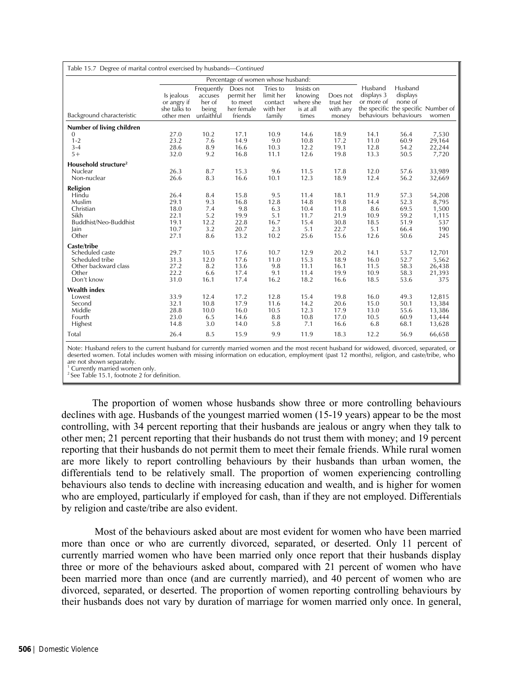| Table 15.7 Degree of marital control exercised by husbands—Continued                             |                                                        |                                                        |                                                            |                                                        |                                                          |                                                      |                                                    |                                                                                                |                                                        |
|--------------------------------------------------------------------------------------------------|--------------------------------------------------------|--------------------------------------------------------|------------------------------------------------------------|--------------------------------------------------------|----------------------------------------------------------|------------------------------------------------------|----------------------------------------------------|------------------------------------------------------------------------------------------------|--------------------------------------------------------|
|                                                                                                  |                                                        |                                                        | Percentage of women whose husband:                         |                                                        |                                                          |                                                      |                                                    |                                                                                                |                                                        |
| Background characteristic                                                                        | Is jealous<br>or angry if<br>she talks to<br>other men | Frequently<br>accuses<br>her of<br>being<br>unfaithful | Does not<br>permit her<br>to meet<br>her female<br>friends | Tries to<br>limit her<br>contact<br>with her<br>family | Insists on<br>knowing<br>where she<br>is at all<br>times | Does not<br>trust her<br>with any<br>money           | Husband<br>displays 3<br>or more of                | Husband<br>displays<br>none of<br>the specific the specific Number of<br>behaviours behaviours | women                                                  |
| Number of living children                                                                        |                                                        |                                                        |                                                            |                                                        |                                                          |                                                      |                                                    |                                                                                                |                                                        |
| $\mathbf{0}$<br>$1 - 2$<br>$3 - 4$<br>$5+$                                                       | 27.0<br>23.2<br>28.6<br>32.0                           | 10.2<br>7.6<br>8.9<br>9.2                              | 17.1<br>14.9<br>16.6<br>16.8                               | 10.9<br>9.0<br>10.3<br>11.1                            | 14.6<br>10.8<br>12.2<br>12.6                             | 18.9<br>17.2<br>19.1<br>19.8                         | 14.1<br>11.0<br>12.8<br>13.3                       | 56.4<br>60.9<br>54.2<br>50.5                                                                   | 7,530<br>29,164<br>22,244<br>7,720                     |
| Household structure <sup>2</sup>                                                                 |                                                        |                                                        |                                                            |                                                        |                                                          |                                                      |                                                    |                                                                                                |                                                        |
| Nuclear<br>Non-nuclear                                                                           | 26.3<br>26.6                                           | 8.7<br>8.3                                             | 15.3<br>16.6                                               | 9.6<br>10.1                                            | 11.5<br>12.3                                             | 17.8<br>18.9                                         | 12.0<br>12.4                                       | 57.6<br>56.2                                                                                   | 33,989<br>32,669                                       |
| Religion<br>Hindu<br>Muslim<br>Christian<br>Sikh<br>Buddhist/Neo-Buddhist<br>Jain<br>Other       | 26.4<br>29.1<br>18.0<br>22.1<br>19.1<br>10.7<br>27.1   | 8.4<br>9.3<br>7.4<br>5.2<br>12.2<br>3.2<br>8.6         | 15.8<br>16.8<br>9.8<br>19.9<br>22.8<br>20.7<br>13.2        | 9.5<br>12.8<br>6.3<br>5.1<br>16.7<br>2.3<br>10.2       | 11.4<br>14.8<br>10.4<br>11.7<br>15.4<br>5.1<br>25.6      | 18.1<br>19.8<br>11.8<br>21.9<br>30.8<br>22.7<br>15.6 | 11.9<br>14.4<br>8.6<br>10.9<br>18.5<br>5.1<br>12.6 | 57.3<br>52.3<br>69.5<br>59.2<br>51.9<br>66.4<br>50.6                                           | 54,208<br>8,795<br>1,500<br>1,115<br>537<br>190<br>245 |
| Caste/tribe<br>Scheduled caste<br>Scheduled tribe<br>Other backward class<br>Other<br>Don't know | 29.7<br>31.3<br>27.2<br>22.2<br>31.0                   | 10.5<br>12.0<br>8.2<br>6.6<br>16.1                     | 17.6<br>17.6<br>13.6<br>17.4<br>17.4                       | 10.7<br>11.0<br>9.8<br>9.1<br>16.2                     | 12.9<br>15.3<br>11.1<br>11.4<br>18.2                     | 20.2<br>18.9<br>16.1<br>19.9<br>16.6                 | 14.1<br>16.0<br>11.5<br>10.9<br>18.5               | 53.7<br>52.7<br>58.3<br>58.3<br>53.6                                                           | 12,701<br>5,562<br>26,438<br>21,393<br>375             |
| <b>Wealth index</b><br>Lowest<br>Second<br>Middle<br>Fourth<br>Highest                           | 33.9<br>32.1<br>28.8<br>23.0<br>14.8                   | 12.4<br>10.8<br>10.0<br>6.5<br>3.0                     | 17.2<br>17.9<br>16.0<br>14.6<br>14.0                       | 12.8<br>11.6<br>10.5<br>8.8<br>5.8                     | 15.4<br>14.2<br>12.3<br>10.8<br>7.1                      | 19.8<br>20.6<br>17.9<br>17.0<br>16.6                 | 16.0<br>15.0<br>13.0<br>10.5<br>6.8                | 49.3<br>50.1<br>55.6<br>60.9<br>68.1                                                           | 12,815<br>13,384<br>13,386<br>13,444<br>13,628         |
| Total                                                                                            | 26.4                                                   | 8.5                                                    | 15.9                                                       | 9.9                                                    | 11.9                                                     | 18.3                                                 | 12.2                                               | 56.9                                                                                           | 66,658                                                 |

Note: Husband refers to the current husband for currently married women and the most recent husband for widowed, divorced, separated, or deserted women. Total includes women with missing information on education, employment (past 12 months), religion, and caste/tribe, who are not shown separately.

1 Currently married women only.

<sup>2</sup> See Table 15.1, footnote 2 for definition.

 The proportion of women whose husbands show three or more controlling behaviours declines with age. Husbands of the youngest married women (15-19 years) appear to be the most controlling, with 34 percent reporting that their husbands are jealous or angry when they talk to other men; 21 percent reporting that their husbands do not trust them with money; and 19 percent reporting that their husbands do not permit them to meet their female friends. While rural women are more likely to report controlling behaviours by their husbands than urban women, the differentials tend to be relatively small. The proportion of women experiencing controlling behaviours also tends to decline with increasing education and wealth, and is higher for women who are employed, particularly if employed for cash, than if they are not employed. Differentials by religion and caste/tribe are also evident.

 Most of the behaviours asked about are most evident for women who have been married more than once or who are currently divorced, separated, or deserted. Only 11 percent of currently married women who have been married only once report that their husbands display three or more of the behaviours asked about, compared with 21 percent of women who have been married more than once (and are currently married), and 40 percent of women who are divorced, separated, or deserted. The proportion of women reporting controlling behaviours by their husbands does not vary by duration of marriage for women married only once. In general,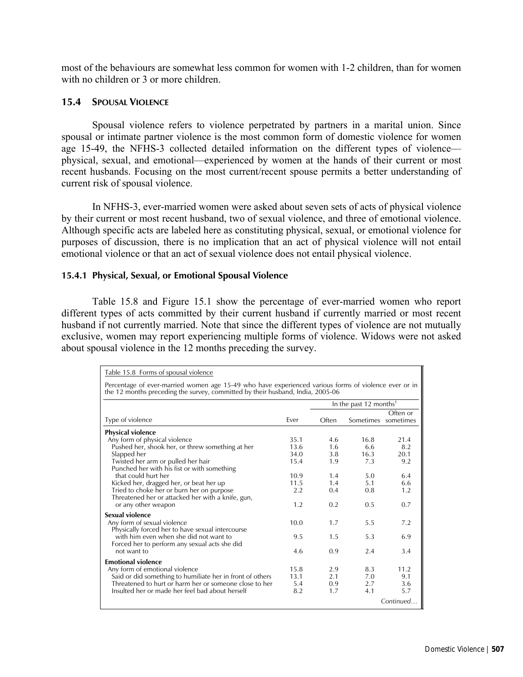most of the behaviours are somewhat less common for women with 1-2 children, than for women with no children or 3 or more children.

### **15.4 SPOUSAL VIOLENCE**

Spousal violence refers to violence perpetrated by partners in a marital union. Since spousal or intimate partner violence is the most common form of domestic violence for women age 15-49, the NFHS-3 collected detailed information on the different types of violence physical, sexual, and emotional—experienced by women at the hands of their current or most recent husbands. Focusing on the most current/recent spouse permits a better understanding of current risk of spousal violence.

In NFHS-3, ever-married women were asked about seven sets of acts of physical violence by their current or most recent husband, two of sexual violence, and three of emotional violence. Although specific acts are labeled here as constituting physical, sexual, or emotional violence for purposes of discussion, there is no implication that an act of physical violence will not entail emotional violence or that an act of sexual violence does not entail physical violence.

### **15.4.1 Physical, Sexual, or Emotional Spousal Violence**

Table 15.8 and Figure 15.1 show the percentage of ever-married women who report different types of acts committed by their current husband if currently married or most recent husband if not currently married. Note that since the different types of violence are not mutually exclusive, women may report experiencing multiple forms of violence. Widows were not asked about spousal violence in the 12 months preceding the survey.

| Table 15.8 Forms of spousal violence                                                                                                                                                   |      |       |                                    |           |  |  |  |
|----------------------------------------------------------------------------------------------------------------------------------------------------------------------------------------|------|-------|------------------------------------|-----------|--|--|--|
| Percentage of ever-married women age 15-49 who have experienced various forms of violence ever or in<br>the 12 months preceding the survey, committed by their husband, India, 2005-06 |      |       |                                    |           |  |  |  |
|                                                                                                                                                                                        |      |       | In the past 12 months <sup>1</sup> |           |  |  |  |
| Type of violence                                                                                                                                                                       | Fver | Often | Sometimes sometimes                | Often or  |  |  |  |
| <b>Physical violence</b>                                                                                                                                                               |      |       |                                    |           |  |  |  |
| Any form of physical violence                                                                                                                                                          | 35.1 | 4.6   | 16.8                               | 21.4      |  |  |  |
| Pushed her, shook her, or threw something at her                                                                                                                                       | 13.6 | 1.6   | 6.6                                | 8.2       |  |  |  |
| Slapped her                                                                                                                                                                            | 34.0 | 3.8   | 16.3                               | 20.1      |  |  |  |
| Twisted her arm or pulled her hair<br>Punched her with his fist or with something                                                                                                      | 15.4 | 1.9   | 7.3                                | 9.2       |  |  |  |
| that could hurt her                                                                                                                                                                    | 10.9 | 1.4   | 5.0                                | 6.4       |  |  |  |
| Kicked her, dragged her, or beat her up                                                                                                                                                | 11.5 | 1.4   | 5.1                                | 6.6       |  |  |  |
| Tried to choke her or burn her on purpose<br>Threatened her or attacked her with a knife, gun,                                                                                         | 2.2  | 0.4   | 0.8                                | 1.2       |  |  |  |
| or any other weapon                                                                                                                                                                    | 1.2  | 0.2   | 0.5                                | 0.7       |  |  |  |
| Sexual violence                                                                                                                                                                        |      |       |                                    |           |  |  |  |
| Any form of sexual violence<br>Physically forced her to have sexual intercourse                                                                                                        | 10.0 | 1.7   | 5.5                                | 7.2       |  |  |  |
| with him even when she did not want to<br>Forced her to perform any sexual acts she did                                                                                                | 9.5  | 1.5   | 5.3                                | 6.9       |  |  |  |
| not want to                                                                                                                                                                            | 4.6  | 0.9   | 2.4                                | 3.4       |  |  |  |
| <b>Emotional violence</b>                                                                                                                                                              |      |       |                                    |           |  |  |  |
| Any form of emotional violence                                                                                                                                                         | 15.8 | 2.9   | 8.3                                | 11.2      |  |  |  |
| Said or did something to humiliate her in front of others                                                                                                                              | 13.1 | 2.1   | 7.0                                | 9.1       |  |  |  |
| Threatened to hurt or harm her or someone close to her                                                                                                                                 | 5.4  | 0.9   | 2.7                                | 3.6       |  |  |  |
| Insulted her or made her feel bad about herself                                                                                                                                        | 8.2  | 1.7   | 4.1                                | 5.7       |  |  |  |
|                                                                                                                                                                                        |      |       |                                    | Continued |  |  |  |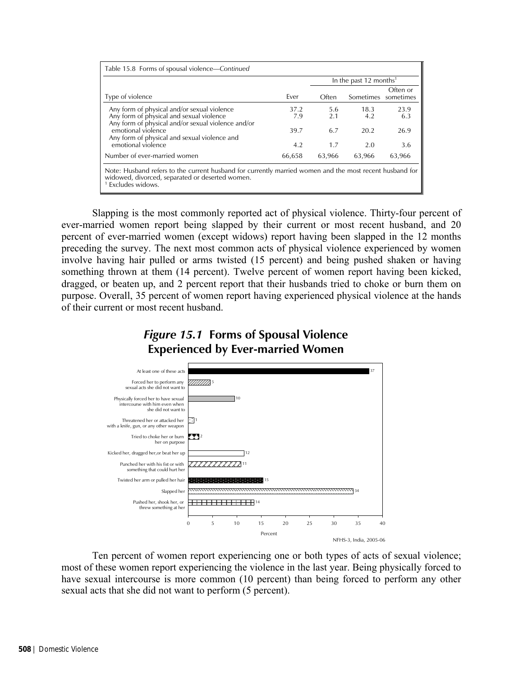|                                                                                                                                                                                             |        |        | In the past 12 months <sup>1</sup> |                       |
|---------------------------------------------------------------------------------------------------------------------------------------------------------------------------------------------|--------|--------|------------------------------------|-----------------------|
| Type of violence                                                                                                                                                                            | Fver   | Often  | Sometimes                          | Often or<br>sometimes |
| Any form of physical and/or sexual violence                                                                                                                                                 | 37.2   | 5.6    | 18.3                               | 23.9                  |
| Any form of physical and sexual violence                                                                                                                                                    | 7.9    | 2.1    | 4.2                                | 6.3                   |
| Any form of physical and/or sexual violence and/or<br>emotional violence<br>Any form of physical and sexual violence and                                                                    | 39.7   | 6.7    | 20.2                               | 26.9                  |
| emotional violence                                                                                                                                                                          | 4.2    | 1.7    | 2.0                                | 3.6                   |
| Number of ever-married women                                                                                                                                                                | 66,658 | 63,966 | 63,966                             | 63,966                |
| Note: Husband refers to the current husband for currently married women and the most recent husband for<br>widowed, divorced, separated or deserted women.<br><sup>1</sup> Excludes widows. |        |        |                                    |                       |

Slapping is the most commonly reported act of physical violence. Thirty-four percent of ever-married women report being slapped by their current or most recent husband, and 20 percent of ever-married women (except widows) report having been slapped in the 12 months preceding the survey. The next most common acts of physical violence experienced by women involve having hair pulled or arms twisted (15 percent) and being pushed shaken or having something thrown at them (14 percent). Twelve percent of women report having been kicked, dragged, or beaten up, and 2 percent report that their husbands tried to choke or burn them on purpose. Overall, 35 percent of women report having experienced physical violence at the hands of their current or most recent husband.





Ten percent of women report experiencing one or both types of acts of sexual violence; most of these women report experiencing the violence in the last year. Being physically forced to have sexual intercourse is more common (10 percent) than being forced to perform any other sexual acts that she did not want to perform (5 percent).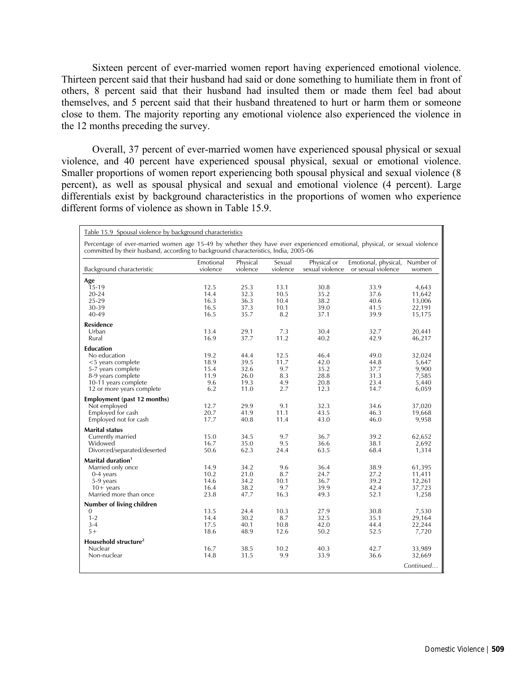Sixteen percent of ever-married women report having experienced emotional violence. Thirteen percent said that their husband had said or done something to humiliate them in front of others, 8 percent said that their husband had insulted them or made them feel bad about themselves, and 5 percent said that their husband threatened to hurt or harm them or someone close to them. The majority reporting any emotional violence also experienced the violence in the 12 months preceding the survey.

Overall, 37 percent of ever-married women have experienced spousal physical or sexual violence, and 40 percent have experienced spousal physical, sexual or emotional violence. Smaller proportions of women report experiencing both spousal physical and sexual violence (8 percent), as well as spousal physical and sexual and emotional violence (4 percent). Large differentials exist by background characteristics in the proportions of women who experience different forms of violence as shown in Table 15.9.

| Table 15.9 Spousal violence by background characteristics                                                                                                                                                       |                                                    |                                                      |                                                  |                                                      |                                                      |                                                               |  |  |
|-----------------------------------------------------------------------------------------------------------------------------------------------------------------------------------------------------------------|----------------------------------------------------|------------------------------------------------------|--------------------------------------------------|------------------------------------------------------|------------------------------------------------------|---------------------------------------------------------------|--|--|
| Percentage of ever-married women age 15-49 by whether they have ever experienced emotional, physical, or sexual violence<br>committed by their husband, according to background characteristics, India, 2005-06 |                                                    |                                                      |                                                  |                                                      |                                                      |                                                               |  |  |
| Background characteristic                                                                                                                                                                                       | Emotional<br>violence                              | Physical<br>violence                                 | Sexual<br>violence                               | Physical or<br>sexual violence                       | Emotional, physical,<br>or sexual violence           | Number of<br>women                                            |  |  |
| Age<br>15-19<br>$20 - 24$<br>$25 - 29$<br>30-39<br>40-49<br><b>Residence</b><br>Urban                                                                                                                           | 12.5<br>14.4<br>16.3<br>16.5<br>16.5<br>13.4       | 25.3<br>32.3<br>36.3<br>37.3<br>35.7<br>29.1         | 13.1<br>10.5<br>10.4<br>10.1<br>8.2<br>7.3       | 30.8<br>35.2<br>38.2<br>39.0<br>37.1<br>30.4         | 33.9<br>37.6<br>40.6<br>41.5<br>39.9<br>32.7         | 4,643<br>11,642<br>13,006<br>22,191<br>15,175<br>20,441       |  |  |
| Rural<br><b>Education</b><br>No education<br><5 years complete<br>5-7 years complete<br>8-9 years complete<br>10-11 years complete<br>12 or more years complete                                                 | 16.9<br>19.2<br>18.9<br>15.4<br>11.9<br>9.6<br>6.2 | 37.7<br>44.4<br>39.5<br>32.6<br>26.0<br>19.3<br>11.0 | 11.2<br>12.5<br>11.7<br>9.7<br>8.3<br>4.9<br>2.7 | 40.2<br>46.4<br>42.0<br>35.2<br>28.8<br>20.8<br>12.3 | 42.9<br>49.0<br>44.8<br>37.7<br>31.3<br>23.4<br>14.7 | 46,217<br>32,024<br>5,647<br>9,900<br>7,585<br>5,440<br>6,059 |  |  |
| <b>Employment (past 12 months)</b><br>Not employed<br>Employed for cash<br>Employed not for cash                                                                                                                | 12.7<br>20.7<br>17.7                               | 29.9<br>41.9<br>40.8                                 | 9.1<br>11.1<br>11.4                              | 32.3<br>43.5<br>43.0                                 | 34.6<br>46.3<br>46.0                                 | 37,020<br>19,668<br>9,958                                     |  |  |
| <b>Marital status</b><br>Currently married<br>Widowed<br>Divorced/separated/deserted                                                                                                                            | 15.0<br>16.7<br>50.6                               | 34.5<br>35.0<br>62.3                                 | 9.7<br>9.5<br>24.4                               | 36.7<br>36.6<br>63.5                                 | 39.2<br>38.1<br>68.4                                 | 62,652<br>2,692<br>1,314                                      |  |  |
| Marital duration <sup>1</sup><br>Married only once<br>$0-4$ years<br>5-9 years<br>$10+$ years<br>Married more than once                                                                                         | 14.9<br>10.2<br>14.6<br>16.4<br>23.8               | 34.2<br>21.0<br>34.2<br>38.2<br>47.7                 | 9.6<br>8.7<br>10.1<br>9.7<br>16.3                | 36.4<br>24.7<br>36.7<br>39.9<br>49.3                 | 38.9<br>27.2<br>39.2<br>42.4<br>52.1                 | 61,395<br>11,411<br>12,261<br>37,723<br>1,258                 |  |  |
| Number of living children<br>$\mathbf{0}$<br>$1 - 2$<br>$3 - 4$<br>$5+$<br>Household structure <sup>2</sup><br>Nuclear                                                                                          | 13.5<br>14.4<br>17.5<br>18.6<br>16.7               | 24.4<br>30.2<br>40.1<br>48.9<br>38.5                 | 10.3<br>8.7<br>10.8<br>12.6<br>10.2              | 27.9<br>32.5<br>42.0<br>50.2<br>40.3                 | 30.8<br>35.1<br>44.4<br>52.5<br>42.7                 | 7,530<br>29,164<br>22,244<br>7,720<br>33,989                  |  |  |
| Non-nuclear                                                                                                                                                                                                     | 14.8                                               | 31.5                                                 | 9.9                                              | 33.9                                                 | 36.6                                                 | 32,669<br>Continued                                           |  |  |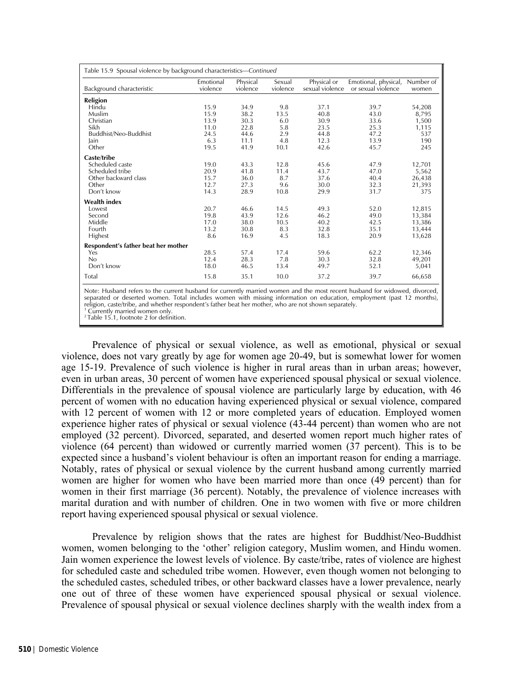| Table 15.9 Spousal violence by background characteristics-Continued |                       |                      |                    |                                |                                            |                    |  |  |  |
|---------------------------------------------------------------------|-----------------------|----------------------|--------------------|--------------------------------|--------------------------------------------|--------------------|--|--|--|
| Background characteristic                                           | Emotional<br>violence | Physical<br>violence | Sexual<br>violence | Physical or<br>sexual violence | Emotional, physical,<br>or sexual violence | Number of<br>women |  |  |  |
| Religion                                                            |                       |                      |                    |                                |                                            |                    |  |  |  |
| Hindu                                                               | 15.9                  | 34.9                 | 9.8                | 37.1                           | 39.7                                       | 54,208             |  |  |  |
| Muslim                                                              | 15.9                  | 38.2                 | 13.5               | 40.8                           | 43.0                                       | 8,795              |  |  |  |
| Christian                                                           | 13.9                  | 30.3                 | 6.0                | 30.9                           | 33.6                                       | 1,500              |  |  |  |
| Sikh                                                                | 11.0                  | 22.8                 | 5.8                | 23.5                           | 25.3                                       | 1,115              |  |  |  |
| Buddhist/Neo-Buddhist                                               | 24.5                  | 44.6                 | 2.9                | 44.8                           | 47.2                                       | 537                |  |  |  |
| Jain                                                                | 6.3                   | 11.1                 | 4.8                | 12.3                           | 13.9                                       | 190                |  |  |  |
| Other                                                               | 19.5                  | 41.9                 | 10.1               | 42.6                           | 45.7                                       | 245                |  |  |  |
| Caste/tribe                                                         |                       |                      |                    |                                |                                            |                    |  |  |  |
| Scheduled caste                                                     | 19.0                  | 43.3                 | 12.8               | 45.6                           | 47.9                                       | 12,701             |  |  |  |
| Scheduled tribe                                                     | 20.9                  | 41.8                 | 11.4               | 43.7                           | 47.0                                       | 5,562              |  |  |  |
| Other backward class                                                | 15.7                  | 36.0                 | 8.7                | 37.6                           | 40.4                                       | 26,438             |  |  |  |
| Other                                                               | 12.7                  | 27.3                 | 9.6                | 30.0                           | 32.3                                       | 21,393             |  |  |  |
| Don't know                                                          | 14.3                  | 28.9                 | 10.8               | 29.9                           | 31.7                                       | 375                |  |  |  |
| <b>Wealth index</b>                                                 |                       |                      |                    |                                |                                            |                    |  |  |  |
| Lowest                                                              | 20.7                  | 46.6                 | 14.5               | 49.3                           | 52.0                                       | 12,815             |  |  |  |
| Second                                                              | 19.8                  | 43.9                 | 12.6               | 46.2                           | 49.0                                       | 13,384             |  |  |  |
| Middle                                                              | 17.0                  | 38.0                 | 10.5               | 40.2                           | 42.5                                       | 13,386             |  |  |  |
| Fourth                                                              | 13.2                  | 30.8                 | 8.3                | 32.8                           | 35.1                                       | 13,444             |  |  |  |
| Highest                                                             | 8.6                   | 16.9                 | 4.5                | 18.3                           | 20.9                                       | 13,628             |  |  |  |
| Respondent's father beat her mother                                 |                       |                      |                    |                                |                                            |                    |  |  |  |
| Yes                                                                 | 28.5                  | 57.4                 | 17.4               | 59.6                           | 62.2                                       | 12,346             |  |  |  |
| No                                                                  | 12.4                  | 28.3                 | 7.8                | 30.3                           | 32.8                                       | 49,201             |  |  |  |
| Don't know                                                          | 18.0                  | 46.5                 | 13.4               | 49.7                           | 52.1                                       | 5,041              |  |  |  |
| Total                                                               | 15.8                  | 35.1                 | 10.0               | 37.2                           | 39.7                                       | 66,658             |  |  |  |

Note: Husband refers to the current husband for currently married women and the most recent husband for widowed, divorced, separated or deserted women. Total includes women with missing information on education, employment (past 12 months), religion, caste/tribe, and whether respondent's father beat her mother, who are not shown separately. <sup>1</sup> Currently married women only.

<sup>2</sup> Table 15.1, footnote 2 for definition.

Prevalence of physical or sexual violence, as well as emotional, physical or sexual violence, does not vary greatly by age for women age 20-49, but is somewhat lower for women age 15-19. Prevalence of such violence is higher in rural areas than in urban areas; however, even in urban areas, 30 percent of women have experienced spousal physical or sexual violence. Differentials in the prevalence of spousal violence are particularly large by education, with 46 percent of women with no education having experienced physical or sexual violence, compared with 12 percent of women with 12 or more completed years of education. Employed women experience higher rates of physical or sexual violence (43-44 percent) than women who are not employed (32 percent). Divorced, separated, and deserted women report much higher rates of violence (64 percent) than widowed or currently married women (37 percent). This is to be expected since a husband's violent behaviour is often an important reason for ending a marriage. Notably, rates of physical or sexual violence by the current husband among currently married women are higher for women who have been married more than once (49 percent) than for women in their first marriage (36 percent). Notably, the prevalence of violence increases with marital duration and with number of children. One in two women with five or more children report having experienced spousal physical or sexual violence.

Prevalence by religion shows that the rates are highest for Buddhist/Neo-Buddhist women, women belonging to the 'other' religion category, Muslim women, and Hindu women. Jain women experience the lowest levels of violence. By caste/tribe, rates of violence are highest for scheduled caste and scheduled tribe women. However, even though women not belonging to the scheduled castes, scheduled tribes, or other backward classes have a lower prevalence, nearly one out of three of these women have experienced spousal physical or sexual violence. Prevalence of spousal physical or sexual violence declines sharply with the wealth index from a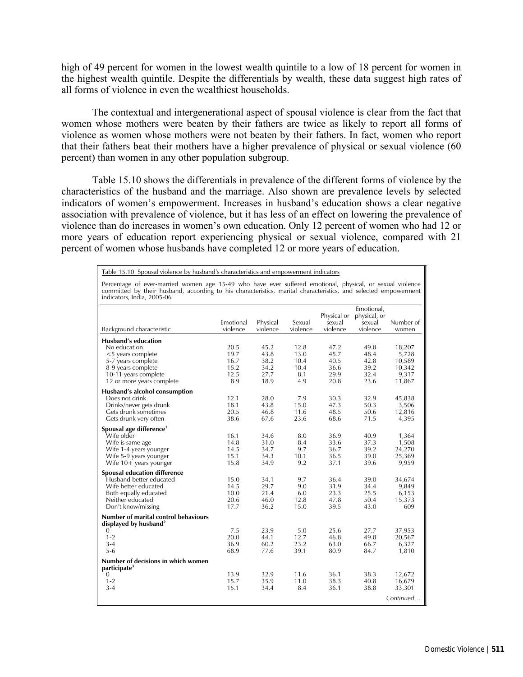high of 49 percent for women in the lowest wealth quintile to a low of 18 percent for women in the highest wealth quintile. Despite the differentials by wealth, these data suggest high rates of all forms of violence in even the wealthiest households.

 The contextual and intergenerational aspect of spousal violence is clear from the fact that women whose mothers were beaten by their fathers are twice as likely to report all forms of violence as women whose mothers were not beaten by their fathers. In fact, women who report that their fathers beat their mothers have a higher prevalence of physical or sexual violence (60 percent) than women in any other population subgroup.

Table 15.10 shows the differentials in prevalence of the different forms of violence by the characteristics of the husband and the marriage. Also shown are prevalence levels by selected indicators of women's empowerment. Increases in husband's education shows a clear negative association with prevalence of violence, but it has less of an effect on lowering the prevalence of violence than do increases in women's own education. Only 12 percent of women who had 12 or more years of education report experiencing physical or sexual violence, compared with 21 percent of women whose husbands have completed 12 or more years of education.

Table 15.10 Spousal violence by husband's characteristics and empowerment indicators

Percentage of ever-married women age 15-49 who have ever suffered emotional, physical, or sexual violence committed by their husband, according to his characteristics, marital characteristics, and selected empowerment indicators, India, 2005-06

| Background characteristic                                                                                                                                                                                                                                                 | Emotional<br>violence                                               | Physical<br>violence                                                 | Sexual<br>violence                                                | Physical or<br>sexual<br>violence                                    | Emotional,<br>physical, or<br>sexual<br>violence                     | Number of<br>women                                                                  |
|---------------------------------------------------------------------------------------------------------------------------------------------------------------------------------------------------------------------------------------------------------------------------|---------------------------------------------------------------------|----------------------------------------------------------------------|-------------------------------------------------------------------|----------------------------------------------------------------------|----------------------------------------------------------------------|-------------------------------------------------------------------------------------|
| <b>Husband's education</b><br>No education<br>$<$ 5 years complete<br>5-7 years complete<br>8-9 years complete<br>10-11 years complete<br>12 or more years complete<br>Husband's alcohol consumption<br>Does not drink<br>Drinks/never gets drunk<br>Gets drunk sometimes | 20.5<br>19.7<br>16.7<br>15.2<br>12.5<br>8.9<br>12.1<br>18.1<br>20.5 | 45.2<br>43.8<br>38.2<br>34.2<br>27.7<br>18.9<br>28.0<br>43.8<br>46.8 | 12.8<br>13.0<br>10.4<br>10.4<br>8.1<br>4.9<br>7.9<br>15.0<br>11.6 | 47.2<br>45.7<br>40.5<br>36.6<br>29.9<br>20.8<br>30.3<br>47.3<br>48.5 | 49.8<br>48.4<br>42.8<br>39.2<br>32.4<br>23.6<br>32.9<br>50.3<br>50.6 | 18,207<br>5,728<br>10,589<br>10,342<br>9,317<br>11,867<br>45,838<br>3,506<br>12,816 |
| Gets drunk very often<br>Spousal age difference <sup>1</sup><br>Wife older<br>Wife is same age<br>Wife 1-4 years younger<br>Wife 5-9 years younger<br>Wife $10+$ years younger                                                                                            | 38.6<br>16.1<br>14.8<br>14.5<br>15.1<br>15.8                        | 67.6<br>34.6<br>31.0<br>34.7<br>34.3<br>34.9                         | 23.6<br>8.0<br>8.4<br>9.7<br>10.1<br>9.2                          | 68.6<br>36.9<br>33.6<br>36.7<br>36.5<br>37.1                         | 71.5<br>40.9<br>37.3<br>39.2<br>39.0<br>39.6                         | 4,395<br>1,364<br>1,508<br>24,270<br>25,369<br>9,959                                |
| <b>Spousal education difference</b><br>Husband better educated<br>Wife better educated<br>Both equally educated<br>Neither educated<br>Don't know/missing                                                                                                                 | 15.0<br>14.5<br>10.0<br>20.6<br>17.7                                | 34.1<br>29.7<br>21.4<br>46.0<br>36.2                                 | 9.7<br>9.0<br>6.0<br>12.8<br>15.0                                 | 36.4<br>31.9<br>23.3<br>47.8<br>39.5                                 | 39.0<br>34.4<br>25.5<br>50.4<br>43.0                                 | 34,674<br>9,849<br>6,153<br>15,373<br>609                                           |
| Number of marital control behaviours<br>displayed by husband <sup>2</sup><br>$\Omega$<br>$1 - 2$<br>$3 - 4$<br>$5 - 6$<br>Number of decisions in which women<br>participate <sup>3</sup><br>0<br>$1 - 2$                                                                  | 7.5<br>20.0<br>36.9<br>68.9<br>13.9<br>15.7                         | 23.9<br>44.1<br>60.2<br>77.6<br>32.9<br>35.9                         | 5.0<br>12.7<br>23.2<br>39.1<br>11.6<br>11.0                       | 25.6<br>46.8<br>63.0<br>80.9<br>36.1<br>38.3                         | 27.7<br>49.8<br>66.7<br>84.7<br>38.3<br>40.8                         | 37,953<br>20,567<br>6,327<br>1,810<br>12,672<br>16,679                              |
| $3-4$                                                                                                                                                                                                                                                                     | 15.1                                                                | 34.4                                                                 | 8.4                                                               | 36.1                                                                 | 38.8                                                                 | 33,301<br>Continued                                                                 |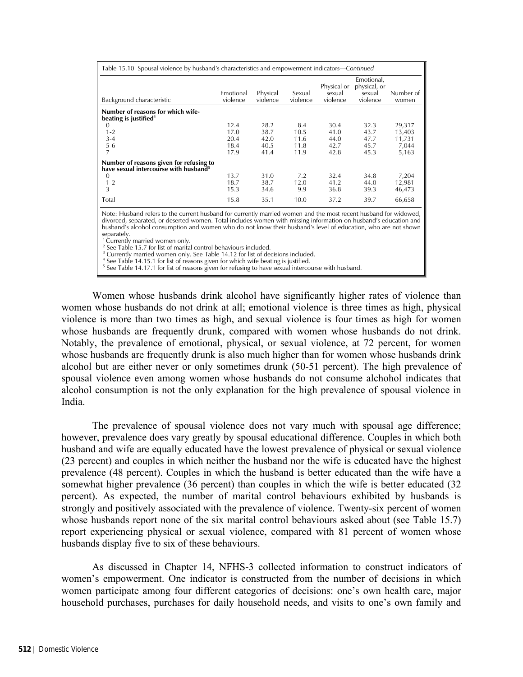| Table 15.10 Spousal violence by husband's characteristics and empowerment indicators—Continued |                       |                      |                    |                                   |                                                  |                    |  |  |  |
|------------------------------------------------------------------------------------------------|-----------------------|----------------------|--------------------|-----------------------------------|--------------------------------------------------|--------------------|--|--|--|
| Background characteristic                                                                      | Emotional<br>violence | Physical<br>violence | Sexual<br>violence | Physical or<br>sexual<br>violence | Emotional,<br>physical, or<br>sexual<br>violence | Number of<br>women |  |  |  |
| Number of reasons for which wife-<br>beating is justified <sup>4</sup>                         |                       |                      |                    |                                   |                                                  |                    |  |  |  |
| $\Omega$                                                                                       | 12.4                  | 28.2                 | 8.4                | 30.4                              | 32.3                                             | 29,317             |  |  |  |
| $1 - 2$                                                                                        | 17.0                  | 38.7                 | 10.5               | 41.0                              | 43.7                                             | 13,403             |  |  |  |
| $3 - 4$                                                                                        | 20.4                  | 42.0                 | 11.6               | 44.0                              | 47.7                                             | 11,731             |  |  |  |
| $5 - 6$                                                                                        | 18.4                  | 40.5                 | 11.8               | 42.7                              | 45.7                                             | 7,044              |  |  |  |
| 7                                                                                              | 17.9                  | 41.4                 | 11.9               | 42.8                              | 45.3                                             | 5,163              |  |  |  |
| Number of reasons given for refusing to<br>have sexual intercourse with husband <sup>5</sup>   |                       |                      |                    |                                   |                                                  |                    |  |  |  |
| $\Omega$                                                                                       | 13.7                  | 31.0                 | 7.2                | 32.4                              | 34.8                                             | 7,204              |  |  |  |
| $1 - 2$                                                                                        | 18.7                  | 38.7                 | 12.0               | 41.2                              | 44.0                                             | 12,981             |  |  |  |
| 3                                                                                              | 15.3                  | 34.6                 | 9.9                | 36.8                              | 39.3                                             | 46,473             |  |  |  |
| Total                                                                                          | 15.8                  | 35.1                 | 10.0               | 37.2                              | 39.7                                             | 66,658             |  |  |  |

Note: Husband refers to the current husband for currently married women and the most recent husband for widowed, divorced, separated, or deserted women. Total includes women with missing information on husband's education and husband's alcohol consumption and women who do not know their husband's level of education, who are not shown

separately.<br><sup>1</sup> Currently married women only.

See Table 15.7 for list of marital control behaviours included.

<sup>3</sup> Currently married women only. See Table 14.12 for list of decisions included.

See Table 14.15.1 for list of reasons given for which wife beating is justified.

<sup>5</sup> See Table 14.17.1 for list of reasons given for refusing to have sexual intercourse with husband.

Women whose husbands drink alcohol have significantly higher rates of violence than women whose husbands do not drink at all; emotional violence is three times as high, physical violence is more than two times as high, and sexual violence is four times as high for women whose husbands are frequently drunk, compared with women whose husbands do not drink. Notably, the prevalence of emotional, physical, or sexual violence, at 72 percent, for women whose husbands are frequently drunk is also much higher than for women whose husbands drink alcohol but are either never or only sometimes drunk (50-51 percent). The high prevalence of spousal violence even among women whose husbands do not consume alchohol indicates that alcohol consumption is not the only explanation for the high prevalence of spousal violence in India.

The prevalence of spousal violence does not vary much with spousal age difference; however, prevalence does vary greatly by spousal educational difference. Couples in which both husband and wife are equally educated have the lowest prevalence of physical or sexual violence (23 percent) and couples in which neither the husband nor the wife is educated have the highest prevalence (48 percent). Couples in which the husband is better educated than the wife have a somewhat higher prevalence (36 percent) than couples in which the wife is better educated (32 percent). As expected, the number of marital control behaviours exhibited by husbands is strongly and positively associated with the prevalence of violence. Twenty-six percent of women whose husbands report none of the six marital control behaviours asked about (see Table 15.7) report experiencing physical or sexual violence, compared with 81 percent of women whose husbands display five to six of these behaviours.

As discussed in Chapter 14, NFHS-3 collected information to construct indicators of women's empowerment. One indicator is constructed from the number of decisions in which women participate among four different categories of decisions: one's own health care, major household purchases, purchases for daily household needs, and visits to one's own family and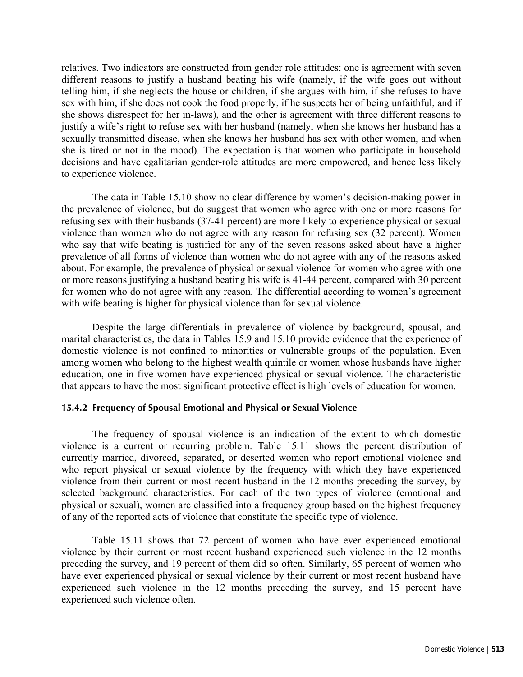relatives. Two indicators are constructed from gender role attitudes: one is agreement with seven different reasons to justify a husband beating his wife (namely, if the wife goes out without telling him, if she neglects the house or children, if she argues with him, if she refuses to have sex with him, if she does not cook the food properly, if he suspects her of being unfaithful, and if she shows disrespect for her in-laws), and the other is agreement with three different reasons to justify a wife's right to refuse sex with her husband (namely, when she knows her husband has a sexually transmitted disease, when she knows her husband has sex with other women, and when she is tired or not in the mood). The expectation is that women who participate in household decisions and have egalitarian gender-role attitudes are more empowered, and hence less likely to experience violence.

The data in Table 15.10 show no clear difference by women's decision-making power in the prevalence of violence, but do suggest that women who agree with one or more reasons for refusing sex with their husbands (37-41 percent) are more likely to experience physical or sexual violence than women who do not agree with any reason for refusing sex (32 percent). Women who say that wife beating is justified for any of the seven reasons asked about have a higher prevalence of all forms of violence than women who do not agree with any of the reasons asked about. For example, the prevalence of physical or sexual violence for women who agree with one or more reasons justifying a husband beating his wife is 41-44 percent, compared with 30 percent for women who do not agree with any reason. The differential according to women's agreement with wife beating is higher for physical violence than for sexual violence.

Despite the large differentials in prevalence of violence by background, spousal, and marital characteristics, the data in Tables 15.9 and 15.10 provide evidence that the experience of domestic violence is not confined to minorities or vulnerable groups of the population. Even among women who belong to the highest wealth quintile or women whose husbands have higher education, one in five women have experienced physical or sexual violence. The characteristic that appears to have the most significant protective effect is high levels of education for women.

## **15.4.2 Frequency of Spousal Emotional and Physical or Sexual Violence**

The frequency of spousal violence is an indication of the extent to which domestic violence is a current or recurring problem. Table 15.11 shows the percent distribution of currently married, divorced, separated, or deserted women who report emotional violence and who report physical or sexual violence by the frequency with which they have experienced violence from their current or most recent husband in the 12 months preceding the survey, by selected background characteristics. For each of the two types of violence (emotional and physical or sexual), women are classified into a frequency group based on the highest frequency of any of the reported acts of violence that constitute the specific type of violence.

Table 15.11 shows that 72 percent of women who have ever experienced emotional violence by their current or most recent husband experienced such violence in the 12 months preceding the survey, and 19 percent of them did so often. Similarly, 65 percent of women who have ever experienced physical or sexual violence by their current or most recent husband have experienced such violence in the 12 months preceding the survey, and 15 percent have experienced such violence often.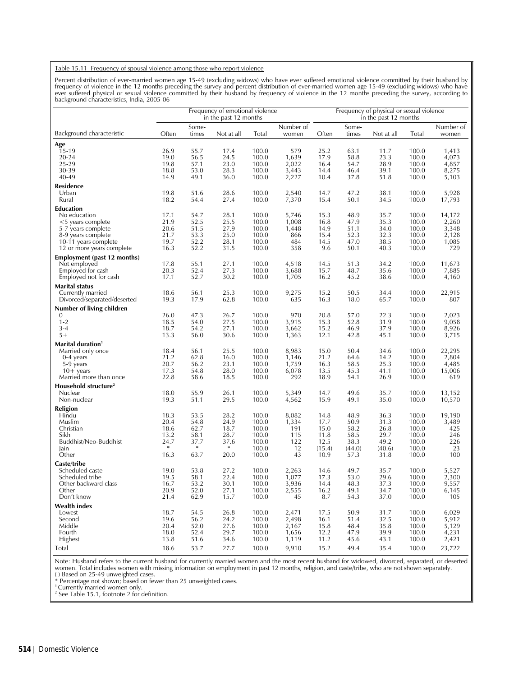#### Table 15.11 Frequency of spousal violence among those who report violence

Percent distribution of ever-married women age 15-49 (excluding widows) who have ever suffered emotional violence committed by their husband by<br>frequency of violence in the 12 months preceding the survey and percent distri

|                                             | Frequency of emotional violence<br>in the past 12 months |                |              |                |                    | Frequency of physical or sexual violence<br>in the past 12 months |                |              |                |                    |
|---------------------------------------------|----------------------------------------------------------|----------------|--------------|----------------|--------------------|-------------------------------------------------------------------|----------------|--------------|----------------|--------------------|
| Background characteristic                   | Often                                                    | Some-<br>times | Not at all   | Total          | Number of<br>women | Often                                                             | Some-<br>times | Not at all   | Total          | Number of<br>women |
| Age                                         |                                                          |                |              |                |                    |                                                                   |                |              |                |                    |
| 15-19                                       | 26.9                                                     | 55.7           | 17.4         | 100.0          | 579                | 25.2                                                              | 63.1           | 11.7         | 100.0          | 1,413              |
| 20-24                                       | 19.0                                                     | 56.5           | 24.5         | 100.0          | 1,639              | 17.9                                                              | 58.8           | 23.3         | 100.0          | 4,073              |
| 25-29                                       | 19.8                                                     | 57.1           | 23.0         | 100.0          | 2,022              | 16.4                                                              | 54.7           | 28.9         | 100.0          | 4,857              |
| 30-39<br>40-49                              | 18.8<br>14.9                                             | 53.0<br>49.1   | 28.3<br>36.0 | 100.0<br>100.0 | 3,443<br>2,227     | 14.4<br>10.4                                                      | 46.4<br>37.8   | 39.1<br>51.8 | 100.0<br>100.0 | 8,275<br>5,103     |
|                                             |                                                          |                |              |                |                    |                                                                   |                |              |                |                    |
| Residence                                   |                                                          |                |              |                |                    |                                                                   |                |              |                |                    |
| Urban<br>Rural                              | 19.8<br>18.2                                             | 51.6<br>54.4   | 28.6<br>27.4 | 100.0<br>100.0 | 2,540<br>7,370     | 14.7<br>15.4                                                      | 47.2<br>50.1   | 38.1<br>34.5 | 100.0<br>100.0 | 5,928<br>17,793    |
|                                             |                                                          |                |              |                |                    |                                                                   |                |              |                |                    |
| Education                                   |                                                          |                |              |                |                    |                                                                   |                |              |                |                    |
| No education<br>$<$ 5 years complete        | 17.1<br>21.9                                             | 54.7<br>52.5   | 28.1<br>25.5 | 100.0<br>100.0 | 5,746<br>1,008     | 15.3<br>16.8                                                      | 48.9<br>47.9   | 35.7<br>35.3 | 100.0<br>100.0 | 14,172<br>2,260    |
| 5-7 years complete                          | 20.6                                                     | 51.5           | 27.9         | 100.0          | 1,448              | 14.9                                                              | 51.1           | 34.0         | 100.0          | 3,348              |
| 8-9 years complete                          | 21.7                                                     | 53.3           | 25.0         | 100.0          | 866                | 15.4                                                              | 52.3           | 32.3         | 100.0          | 2,128              |
| 10-11 years complete                        | 19.7                                                     | 52.2           | 28.1         | 100.0          | 484                | 14.5                                                              | 47.0           | 38.5         | 100.0          | 1,085              |
| 12 or more years complete                   | 16.3                                                     | 52.2           | 31.5         | 100.0          | 358                | 9.6                                                               | 50.1           | 40.3         | 100.0          | 729                |
| Employment (past 12 months)                 |                                                          |                |              |                |                    |                                                                   |                |              |                |                    |
| Not employed                                | 17.8                                                     | 55.1           | 27.1         | 100.0          | 4,518              | 14.5                                                              | 51.3           | 34.2         | 100.0          | 11,673             |
| Employed for cash                           | 20.3                                                     | 52.4           | 27.3         | 100.0          | 3,688              | 15.7                                                              | 48.7           | 35.6         | 100.0          | 7,885              |
| Employed not for cash                       | 17.1                                                     | 52.7           | 30.2         | 100.0          | 1,705              | 16.2                                                              | 45.2           | 38.6         | 100.0          | 4,160              |
| Marital status                              |                                                          |                |              |                |                    |                                                                   |                |              |                |                    |
| Currently married                           | 18.6                                                     | 56.1           | 25.3         | 100.0          | 9,275              | 15.2                                                              | 50.5           | 34.4         | 100.0          | 22,915             |
| Divorced/separated/deserted                 | 19.3                                                     | 17.9           | 62.8         | 100.0          | 635                | 16.3                                                              | 18.0           | 65.7         | 100.0          | 807                |
| Number of living children                   |                                                          |                |              |                |                    |                                                                   |                |              |                |                    |
| $\mathbf{0}$                                | 26.0                                                     | 47.3           | 26.7         | 100.0          | 970                | 20.8                                                              | 57.0           | 22.3         | 100.0          | 2,023              |
| $1 - 2$                                     | 18.5                                                     | 54.0           | 27.5         | 100.0          | 3,915              | 15.3                                                              | 52.8           | 31.9         | 100.0          | 9,058              |
| $3 - 4$                                     | 18.7                                                     | 54.2           | 27.1         | 100.0          | 3,662              | 15.2                                                              | 46.9           | 37.9         | 100.0          | 8,926              |
| $5+$                                        | 13.3                                                     | 56.0           | 30.6         | 100.0          | 1,363              | 12.1                                                              | 42.8           | 45.1         | 100.0          | 3,715              |
| <b>Marital duration</b>                     |                                                          |                |              |                |                    |                                                                   |                |              |                |                    |
| Married only once                           | 18.4                                                     | 56.1           | 25.5         | 100.0          | 8,983              | 15.0                                                              | 50.4           | 34.6         | 100.0          | 22,295             |
| 0-4 years                                   | 21.2                                                     | 62.8           | 16.0         | 100.0          | 1,146              | 21.2                                                              | 64.6           | 14.2         | 100.0          | 2,804              |
| 5-9 years                                   | 20.7<br>17.3                                             | 56.2<br>54.8   | 23.1<br>28.0 | 100.0<br>100.0 | 1,759<br>6,078     | 16.3<br>13.5                                                      | 58.5<br>45.3   | 25.3<br>41.1 | 100.0<br>100.0 | 4,485<br>15,006    |
| $10+$ years<br>Married more than once       | 22.8                                                     | 58.6           | 18.5         | 100.0          | 292                | 18.9                                                              | 54.1           | 26.9         | 100.0          | 619                |
|                                             |                                                          |                |              |                |                    |                                                                   |                |              |                |                    |
| Household structure <sup>2</sup><br>Nuclear | 18.0                                                     | 55.9           | 26.1         | 100.0          | 5,349              | 14.7                                                              | 49.6           | 35.7         | 100.0          | 13,152             |
| Non-nuclear                                 | 19.3                                                     | 51.1           | 29.5         | 100.0          | 4,562              | 15.9                                                              | 49.1           | 35.0         | 100.0          | 10,570             |
| Religion                                    |                                                          |                |              |                |                    |                                                                   |                |              |                |                    |
| Hindu                                       | 18.3                                                     | 53.5           | 28.2         | 100.0          | 8,082              | 14.8                                                              | 48.9           | 36.3         | 100.0          | 19,190             |
| Muslim                                      | 20.4                                                     | 54.8           | 24.9         | 100.0          | 1,334              | 17.7                                                              | 50.9           | 31.3         | 100.0          | 3,489              |
| Christian                                   | 18.6                                                     | 62.7           | 18.7         | 100.0          | 191                | 15.0                                                              | 58.2           | 26.8         | 100.0          | 425                |
| Sikh                                        | 13.2                                                     | 58.1           | 28.7         | 100.0          | 115                | 11.8                                                              | 58.5           | 29.7         | 100.0          | 246                |
| Buddhist/Neo-Buddhist                       | 24.7                                                     | 37.7           | 37.6         | 100.0          | 122                | 12.5                                                              | 38.3           | 49.2         | 100.0          | 226                |
| Jain                                        |                                                          | $\ast$         | $\ast$       | 100.0          | 12                 | (15.4)                                                            | (44.0)         | (40.6)       | 100.0          | 23                 |
| Other                                       | 16.3                                                     | 63.7           | 20.0         | 100.0          | 43                 | 10.9                                                              | 57.3           | 31.8         | 100.0          | 100                |
| Caste/tribe                                 |                                                          |                |              |                |                    |                                                                   |                |              |                |                    |
| Scheduled caste                             | 19.0                                                     | 53.8           | 27.2         | 100.0          | 2,263              | 14.6                                                              | 49.7           | 35.7         | 100.0          | 5,527              |
| Scheduled tribe<br>Other backward class     | 19.5<br>16.7                                             | 58.1<br>53.2   | 22.4<br>30.1 | 100.0<br>100.0 | 1,077              | 17.3<br>14.4                                                      | 53.0<br>48.3   | 29.6<br>37.3 | 100.0<br>100.0 | 2,300<br>9,557     |
| Other                                       | 20.9                                                     | 52.0           | 27.1         | 100.0          | 3,936<br>2,555     | 16.2                                                              | 49.1           | 34.7         | 100.0          | 6,145              |
| Don't know                                  | 21.4                                                     | 62.9           | 15.7         | 100.0          | 45                 | 8.7                                                               | 54.3           | 37.0         | 100.0          | 105                |
| <b>Wealth index</b>                         |                                                          |                |              |                |                    |                                                                   |                |              |                |                    |
| Lowest                                      | 18.7                                                     | 54.5           | 26.8         | 100.0          | 2,471              | 17.5                                                              | 50.9           | 31.7         | 100.0          | 6,029              |
| Second                                      | 19.6                                                     | 56.2           | 24.2         | 100.0          | 2,498              | 16.1                                                              | 51.4           | 32.5         | 100.0          | 5,912              |
| Middle                                      | 20.4                                                     | 52.0           | 27.6         | 100.0          | 2,167              | 15.8                                                              | 48.4           | 35.8         | 100.0          | 5,129              |
| Fourth                                      | 18.0                                                     | 52.4           | 29.7         | 100.0          | 1,656              | 12.2                                                              | 47.9           | 39.9         | 100.0          | 4,231              |
| Highest                                     | 13.8                                                     | 51.6           | 34.6         | 100.0          | 1,119              | 11.2                                                              | 45.6           | 43.1         | 100.0          | 2,421              |
| Total                                       | 18.6                                                     | 53.7           | 27.7         | 100.0          | 9,910              | 15.2                                                              | 49.4           | 35.4         | 100.0          | 23,722             |

Note: Husband refers to the current husband for currently married women and the most recent husband for widowed, divorced, separated, or deserted women. Total includes women with missing information on employment in past 12 months, religion, and caste/tribe, who are not shown separately.

( ) Based on 25-49 unweighted cases.<br>\* Percentage not shown; based on fewer than 25 unweighted cases.<br><sup>1</sup> Currently married women only.<br><sup>2</sup> See Table 15.1, footnote 2 for definition.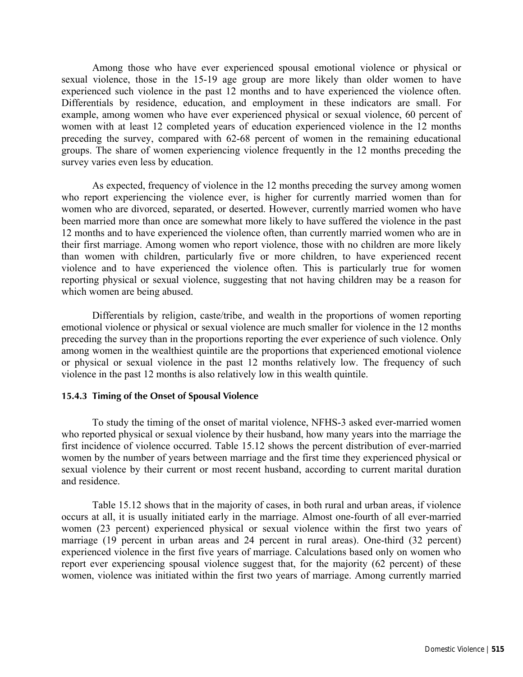Among those who have ever experienced spousal emotional violence or physical or sexual violence, those in the 15-19 age group are more likely than older women to have experienced such violence in the past 12 months and to have experienced the violence often. Differentials by residence, education, and employment in these indicators are small. For example, among women who have ever experienced physical or sexual violence, 60 percent of women with at least 12 completed years of education experienced violence in the 12 months preceding the survey, compared with 62-68 percent of women in the remaining educational groups. The share of women experiencing violence frequently in the 12 months preceding the survey varies even less by education.

As expected, frequency of violence in the 12 months preceding the survey among women who report experiencing the violence ever, is higher for currently married women than for women who are divorced, separated, or deserted. However, currently married women who have been married more than once are somewhat more likely to have suffered the violence in the past 12 months and to have experienced the violence often, than currently married women who are in their first marriage. Among women who report violence, those with no children are more likely than women with children, particularly five or more children, to have experienced recent violence and to have experienced the violence often. This is particularly true for women reporting physical or sexual violence, suggesting that not having children may be a reason for which women are being abused.

Differentials by religion, caste/tribe, and wealth in the proportions of women reporting emotional violence or physical or sexual violence are much smaller for violence in the 12 months preceding the survey than in the proportions reporting the ever experience of such violence. Only among women in the wealthiest quintile are the proportions that experienced emotional violence or physical or sexual violence in the past 12 months relatively low. The frequency of such violence in the past 12 months is also relatively low in this wealth quintile.

## **15.4.3 Timing of the Onset of Spousal Violence**

To study the timing of the onset of marital violence, NFHS-3 asked ever-married women who reported physical or sexual violence by their husband, how many years into the marriage the first incidence of violence occurred. Table 15.12 shows the percent distribution of ever-married women by the number of years between marriage and the first time they experienced physical or sexual violence by their current or most recent husband, according to current marital duration and residence.

Table 15.12 shows that in the majority of cases, in both rural and urban areas, if violence occurs at all, it is usually initiated early in the marriage. Almost one-fourth of all ever-married women (23 percent) experienced physical or sexual violence within the first two years of marriage (19 percent in urban areas and 24 percent in rural areas). One-third (32 percent) experienced violence in the first five years of marriage. Calculations based only on women who report ever experiencing spousal violence suggest that, for the majority (62 percent) of these women, violence was initiated within the first two years of marriage. Among currently married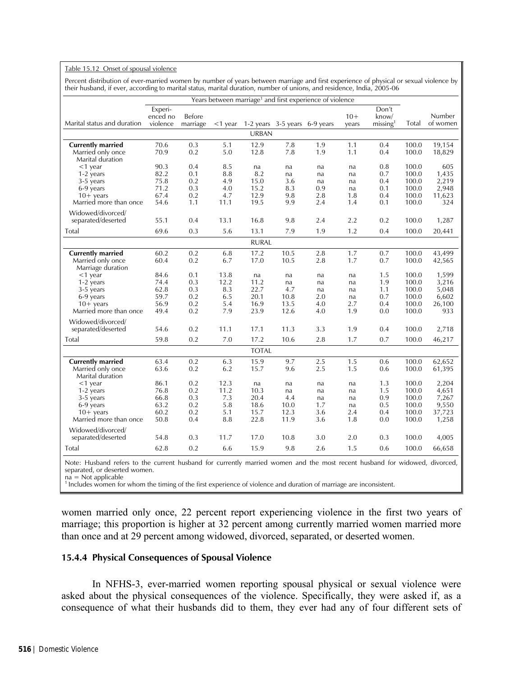### Table 15.12 Onset of spousal violence

Percent distribution of ever-married women by number of years between marriage and first experience of physical or sexual violence by their husband, if ever, according to marital status, marital duration, number of unions, and residence, India, 2005-06

| Years between marriage <sup>1</sup> and first experience of violence                       |                                              |                                        |                                             |                                            |                                         |                                     |                                    |                                        |                                                    |                                                     |
|--------------------------------------------------------------------------------------------|----------------------------------------------|----------------------------------------|---------------------------------------------|--------------------------------------------|-----------------------------------------|-------------------------------------|------------------------------------|----------------------------------------|----------------------------------------------------|-----------------------------------------------------|
| Marital status and duration                                                                | Experi-<br>enced no<br>violence              | Before<br>marriage                     | $<$ 1 year                                  | 1-2 years 3-5 years 6-9 years              |                                         |                                     | $10+$<br>years                     | Don't<br>know/<br>missing <sup>1</sup> | Total                                              | Number<br>of women                                  |
|                                                                                            |                                              |                                        |                                             | <b>URBAN</b>                               |                                         |                                     |                                    |                                        |                                                    |                                                     |
| <b>Currently married</b><br>Married only once<br>Marital duration                          | 70.6<br>70.9                                 | 0.3<br>0.2                             | 5.1<br>5.0                                  | 12.9<br>12.8                               | 7.8<br>7.8                              | 1.9<br>1.9                          | 1.1<br>1.1                         | 0.4<br>0.4                             | 100.0<br>100.0                                     | 19,154<br>18,829                                    |
| $<$ 1 year<br>1-2 years<br>3-5 years<br>6-9 years<br>$10+$ years<br>Married more than once | 90.3<br>82.2<br>75.8<br>71.2<br>67.4<br>54.6 | 0.4<br>0.1<br>0.2<br>0.3<br>0.2<br>1.1 | 8.5<br>8.8<br>4.9<br>$4.0\,$<br>4.7<br>11.1 | na<br>8.2<br>15.0<br>15.2<br>12.9<br>19.5  | na<br>na<br>3.6<br>8.3<br>9.8<br>9.9    | na<br>na<br>na<br>0.9<br>2.8<br>2.4 | na<br>na<br>na<br>na<br>1.8<br>1.4 | 0.8<br>0.7<br>0.4<br>0.1<br>0.4<br>0.1 | 100.0<br>100.0<br>100.0<br>100.0<br>100.0<br>100.0 | 605<br>1,435<br>2,219<br>2,948<br>11,623<br>324     |
| Widowed/divorced/<br>separated/deserted                                                    | 55.1                                         | 0.4                                    | 13.1                                        | 16.8                                       | 9.8                                     | 2.4                                 | 2.2                                | 0.2                                    | 100.0                                              | 1,287                                               |
| Total                                                                                      | 69.6                                         | 0.3                                    | 5.6                                         | 13.1                                       | 7.9                                     | 1.9                                 | 1.2                                | 0.4                                    | 100.0                                              | 20,441                                              |
|                                                                                            |                                              |                                        |                                             | <b>RURAL</b>                               |                                         |                                     |                                    |                                        |                                                    |                                                     |
| <b>Currently married</b><br>Married only once<br>Marriage duration                         | 60.2<br>60.4                                 | 0.2<br>0.2                             | 6.8<br>6.7                                  | 17.2<br>17.0                               | 10.5<br>10.5                            | 2.8<br>2.8                          | 1.7<br>1.7                         | 0.7<br>0.7                             | 100.0<br>100.0                                     | 43,499<br>42,565                                    |
| $<$ 1 year<br>1-2 years<br>3-5 years<br>6-9 years<br>$10+$ years<br>Married more than once | 84.6<br>74.4<br>62.8<br>59.7<br>56.9<br>49.4 | 0.1<br>0.3<br>0.3<br>0.2<br>0.2<br>0.2 | 13.8<br>12.2<br>8.3<br>6.5<br>5.4<br>7.9    | na<br>11.2<br>22.7<br>20.1<br>16.9<br>23.9 | na<br>na<br>4.7<br>10.8<br>13.5<br>12.6 | na<br>na<br>na<br>2.0<br>4.0<br>4.0 | na<br>na<br>na<br>na<br>2.7<br>1.9 | 1.5<br>1.9<br>1.1<br>0.7<br>0.4<br>0.0 | 100.0<br>100.0<br>100.0<br>100.0<br>100.0<br>100.0 | 1,599<br>3,216<br>5,048<br>6,602<br>26,100<br>933   |
| Widowed/divorced/<br>separated/deserted                                                    | 54.6                                         | 0.2                                    | 11.1                                        | 17.1                                       | 11.3                                    | 3.3                                 | 1.9                                | 0.4                                    | 100.0                                              | 2,718                                               |
| Total                                                                                      | 59.8                                         | 0.2                                    | 7.0                                         | 17.2                                       | 10.6                                    | 2.8                                 | 1.7                                | 0.7                                    | 100.0                                              | 46,217                                              |
|                                                                                            |                                              |                                        |                                             | <b>TOTAL</b>                               |                                         |                                     |                                    |                                        |                                                    |                                                     |
| <b>Currently married</b><br>Married only once<br>Marital duration                          | 63.4<br>63.6                                 | 0.2<br>0.2                             | 6.3<br>6.2                                  | 15.9<br>15.7                               | 9.7<br>9.6                              | 2.5<br>2.5                          | 1.5<br>1.5                         | 0.6<br>0.6                             | 100.0<br>100.0                                     | 62,652<br>61,395                                    |
| <1 year<br>1-2 years<br>3-5 years<br>6-9 years<br>$10+$ years<br>Married more than once    | 86.1<br>76.8<br>66.8<br>63.2<br>60.2<br>50.8 | 0.2<br>0.2<br>0.3<br>0.2<br>0.2<br>0.4 | 12.3<br>11.2<br>7.3<br>5.8<br>5.1<br>8.8    | na<br>10.3<br>20.4<br>18.6<br>15.7<br>22.8 | na<br>na<br>4.4<br>10.0<br>12.3<br>11.9 | na<br>na<br>na<br>1.7<br>3.6<br>3.6 | na<br>na<br>na<br>na<br>2.4<br>1.8 | 1.3<br>1.5<br>0.9<br>0.5<br>0.4<br>0.0 | 100.0<br>100.0<br>100.0<br>100.0<br>100.0<br>100.0 | 2,204<br>4,651<br>7,267<br>9,550<br>37,723<br>1,258 |
| Widowed/divorced/<br>separated/deserted                                                    | 54.8                                         | 0.3                                    | 11.7                                        | 17.0                                       | 10.8                                    | 3.0                                 | 2.0                                | 0.3                                    | 100.0                                              | 4,005                                               |
| Total                                                                                      | 62.8                                         | 0.2                                    | 6.6                                         | 15.9                                       | 9.8                                     | 2.6                                 | 1.5                                | 0.6                                    | 100.0                                              | 66,658                                              |

Note: Husband refers to the current husband for currently married women and the most recent husband for widowed, divorced, separated, or deserted women.

na = Not applicable

<sup>1</sup> Includes women for whom the timing of the first experience of violence and duration of marriage are inconsistent.

women married only once, 22 percent report experiencing violence in the first two years of marriage; this proportion is higher at 32 percent among currently married women married more than once and at 29 percent among widowed, divorced, separated, or deserted women.

### **15.4.4 Physical Consequences of Spousal Violence**

In NFHS-3, ever-married women reporting spousal physical or sexual violence were asked about the physical consequences of the violence. Specifically, they were asked if, as a consequence of what their husbands did to them, they ever had any of four different sets of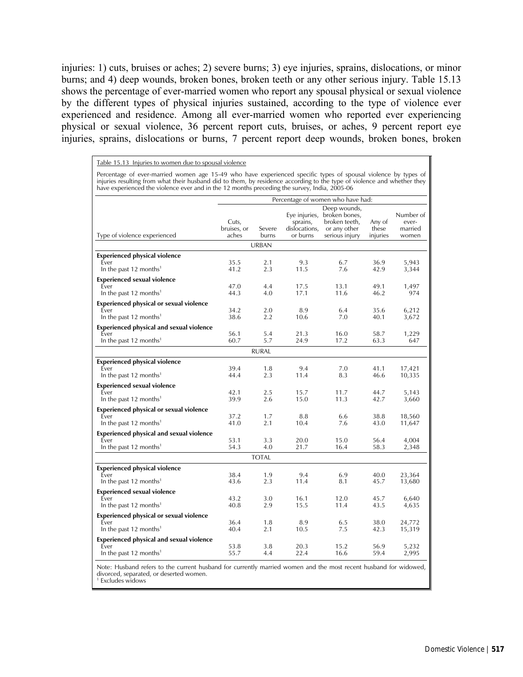injuries: 1) cuts, bruises or aches; 2) severe burns; 3) eye injuries, sprains, dislocations, or minor burns; and 4) deep wounds, broken bones, broken teeth or any other serious injury. Table 15.13 shows the percentage of ever-married women who report any spousal physical or sexual violence by the different types of physical injuries sustained, according to the type of violence ever experienced and residence. Among all ever-married women who reported ever experiencing physical or sexual violence, 36 percent report cuts, bruises, or aches, 9 percent report eye injuries, sprains, dislocations or burns, 7 percent report deep wounds, broken bones, broken

Table 15.13 Injuries to women due to spousal violence Percentage of ever-married women age 15-49 who have experienced specific types of spousal violence by types of<br>injuries resulting from what their husband did to them, by residence according to the type of violence and whet

|                                                 | Percentage of women who have had: |                 |                                                        |                                                                                  |                             |                                        |  |  |  |
|-------------------------------------------------|-----------------------------------|-----------------|--------------------------------------------------------|----------------------------------------------------------------------------------|-----------------------------|----------------------------------------|--|--|--|
| Type of violence experienced                    | Cuts,<br>bruises, or<br>aches     | Severe<br>burns | Eye injuries,<br>sprains,<br>dislocations,<br>or burns | Deep wounds,<br>broken bones,<br>broken teeth,<br>or any other<br>serious injury | Any of<br>these<br>injuries | Number of<br>ever-<br>married<br>women |  |  |  |
|                                                 |                                   | <b>URBAN</b>    |                                                        |                                                                                  |                             |                                        |  |  |  |
| <b>Experienced physical violence</b>            |                                   |                 |                                                        |                                                                                  |                             |                                        |  |  |  |
| Ever<br>In the past 12 months <sup>1</sup>      | 35.5<br>41.2                      | 2.1<br>2.3      | 9.3<br>11.5                                            | 6.7<br>7.6                                                                       | 36.9<br>42.9                | 5,943<br>3,344                         |  |  |  |
| <b>Experienced sexual violence</b>              |                                   |                 |                                                        |                                                                                  |                             |                                        |  |  |  |
| Ever<br>In the past 12 months <sup>1</sup>      | 47.0<br>44.3                      | 4.4<br>4.0      | 17.5<br>17.1                                           | 13.1<br>11.6                                                                     | 49.1<br>46.2                | 1,497<br>974                           |  |  |  |
| <b>Experienced physical or sexual violence</b>  |                                   |                 |                                                        |                                                                                  |                             |                                        |  |  |  |
| Ever<br>In the past 12 months <sup>1</sup>      | 34.2<br>38.6                      | 2.0<br>2.2      | 8.9<br>10.6                                            | 6.4<br>7.0                                                                       | 35.6<br>40.1                | 6,212<br>3,672                         |  |  |  |
| <b>Experienced physical and sexual violence</b> |                                   |                 |                                                        |                                                                                  |                             |                                        |  |  |  |
| Ever<br>In the past 12 months <sup>1</sup>      | 56.1<br>60.7                      | 5.4<br>5.7      | 21.3<br>24.9                                           | 16.0<br>17.2                                                                     | 58.7<br>63.3                | 1,229<br>647                           |  |  |  |
|                                                 |                                   | <b>RURAL</b>    |                                                        |                                                                                  |                             |                                        |  |  |  |
| <b>Experienced physical violence</b>            |                                   |                 |                                                        |                                                                                  |                             |                                        |  |  |  |
| Ever<br>In the past 12 months <sup>1</sup>      | 39.4<br>44.4                      | 1.8<br>2.3      | 9.4<br>11.4                                            | 7.0<br>8.3                                                                       | 41.1<br>46.6                | 17,421<br>10,335                       |  |  |  |
| <b>Experienced sexual violence</b>              |                                   |                 |                                                        |                                                                                  |                             |                                        |  |  |  |
| Ever<br>In the past 12 months <sup>1</sup>      | 42.1<br>39.9                      | 2.5<br>2.6      | 15.7<br>15.0                                           | 11.7<br>11.3                                                                     | 44.7<br>42.7                | 5,143<br>3,660                         |  |  |  |
| <b>Experienced physical or sexual violence</b>  |                                   |                 |                                                        |                                                                                  |                             |                                        |  |  |  |
| Ever<br>In the past 12 months <sup>1</sup>      | 37.2<br>41.0                      | 1.7<br>2.1      | 8.8<br>10.4                                            | 6.6<br>7.6                                                                       | 38.8<br>43.0                | 18,560<br>11,647                       |  |  |  |
| <b>Experienced physical and sexual violence</b> |                                   |                 |                                                        |                                                                                  |                             |                                        |  |  |  |
| Ever<br>In the past 12 months <sup>1</sup>      | 53.1<br>54.3                      | 3.3<br>4.0      | 20.0<br>21.7                                           | 15.0<br>16.4                                                                     | 56.4<br>58.3                | 4,004<br>2,348                         |  |  |  |
|                                                 |                                   | <b>TOTAL</b>    |                                                        |                                                                                  |                             |                                        |  |  |  |
| <b>Experienced physical violence</b>            |                                   |                 |                                                        |                                                                                  |                             |                                        |  |  |  |
| Ever<br>In the past 12 months <sup>1</sup>      | 38.4<br>43.6                      | 1.9<br>2.3      | 9.4<br>11.4                                            | 6.9<br>8.1                                                                       | 40.0<br>45.7                | 23,364<br>13,680                       |  |  |  |
| <b>Experienced sexual violence</b>              |                                   |                 |                                                        |                                                                                  |                             |                                        |  |  |  |
| Ever<br>In the past 12 months <sup>1</sup>      | 43.2<br>40.8                      | 3.0<br>2.9      | 16.1<br>15.5                                           | 12.0<br>11.4                                                                     | 45.7<br>43.5                | 6,640<br>4,635                         |  |  |  |
| <b>Experienced physical or sexual violence</b>  |                                   |                 |                                                        |                                                                                  |                             |                                        |  |  |  |
| Ever<br>In the past 12 months <sup>1</sup>      | 36.4<br>40.4                      | 1.8<br>2.1      | 8.9<br>10.5                                            | 6.5<br>7.5                                                                       | 38.0<br>42.3                | 24,772<br>15,319                       |  |  |  |
| <b>Experienced physical and sexual violence</b> |                                   |                 |                                                        |                                                                                  |                             |                                        |  |  |  |
| Ever<br>In the past 12 months <sup>1</sup>      | 53.8<br>55.7                      | 3.8<br>4.4      | 20.3<br>22.4                                           | 15.2<br>16.6                                                                     | 56.9<br>59.4                | 5,232<br>2,995                         |  |  |  |

Note: Husband refers to the current husband for currently married women and the most recent husband for widowed, divorced, separated, or deserted women. 1 Excludes widows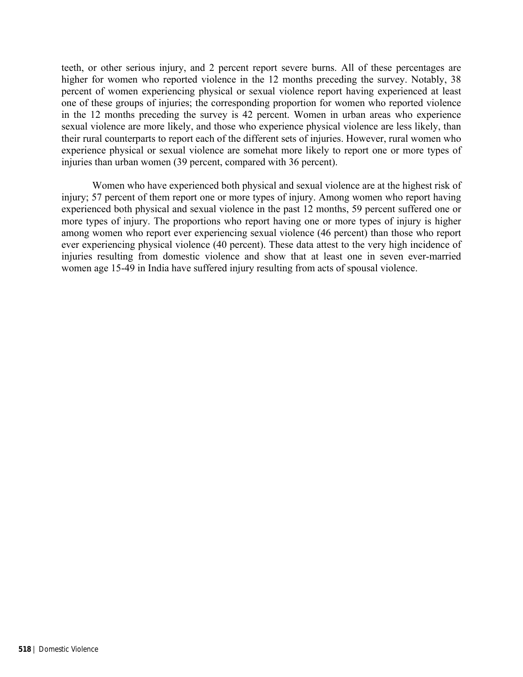teeth, or other serious injury, and 2 percent report severe burns. All of these percentages are higher for women who reported violence in the 12 months preceding the survey. Notably, 38 percent of women experiencing physical or sexual violence report having experienced at least one of these groups of injuries; the corresponding proportion for women who reported violence in the 12 months preceding the survey is 42 percent. Women in urban areas who experience sexual violence are more likely, and those who experience physical violence are less likely, than their rural counterparts to report each of the different sets of injuries. However, rural women who experience physical or sexual violence are somehat more likely to report one or more types of injuries than urban women (39 percent, compared with 36 percent).

Women who have experienced both physical and sexual violence are at the highest risk of injury; 57 percent of them report one or more types of injury. Among women who report having experienced both physical and sexual violence in the past 12 months, 59 percent suffered one or more types of injury. The proportions who report having one or more types of injury is higher among women who report ever experiencing sexual violence (46 percent) than those who report ever experiencing physical violence (40 percent). These data attest to the very high incidence of injuries resulting from domestic violence and show that at least one in seven ever-married women age 15-49 in India have suffered injury resulting from acts of spousal violence.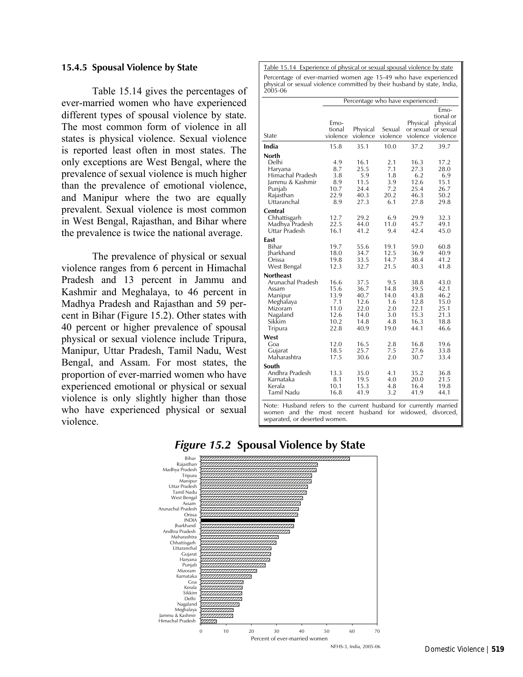### **15.4.5 Spousal Violence by State**

Table 15.14 gives the percentages of ever-married women who have experienced different types of spousal violence by state. The most common form of violence in all states is physical violence. Sexual violence is reported least often in most states. The only exceptions are West Bengal, where the prevalence of sexual violence is much higher than the prevalence of emotional violence, and Manipur where the two are equally prevalent. Sexual violence is most common in West Bengal, Rajasthan, and Bihar where the prevalence is twice the national average.

The prevalence of physical or sexual violence ranges from 6 percent in Himachal Pradesh and 13 percent in Jammu and Kashmir and Meghalaya, to 46 percent in Madhya Pradesh and Rajasthan and 59 percent in Bihar (Figure 15.2). Other states with 40 percent or higher prevalence of spousal physical or sexual violence include Tripura, Manipur, Uttar Pradesh, Tamil Nadu, West Bengal, and Assam. For most states, the proportion of ever-married women who have experienced emotional or physical or sexual violence is only slightly higher than those who have experienced physical or sexual violence.

Table 15.14 Experience of physical or sexual spousal violence by state Percentage of ever-married women age 15-49 who have experienced physical or sexual violence committed by their husband by state, India, 2005-06

|                                                                                                                                   | Percentage who have experienced:                            |                                                              |                                                         |                                                              |                                                              |  |  |  |  |
|-----------------------------------------------------------------------------------------------------------------------------------|-------------------------------------------------------------|--------------------------------------------------------------|---------------------------------------------------------|--------------------------------------------------------------|--------------------------------------------------------------|--|--|--|--|
| State                                                                                                                             | Emo-<br>tional<br>violence                                  | Physical<br>violence                                         | Sexual<br>violence                                      | Physical<br>or sexual or sexual<br>violence                  | Emo-<br>tional or<br>physical<br>violence                    |  |  |  |  |
| India                                                                                                                             | 15.8                                                        | 35.1                                                         | 10.0                                                    | 37.2                                                         | 39.7                                                         |  |  |  |  |
| <b>North</b><br>Delhi<br>Haryana<br>Himachal Pradesh<br>Jammu & Kashmir<br>Punjab<br>Rajasthan<br>Uttaranchal                     | 4.9<br>8.7<br>3.8<br>8.9<br>10.7<br>22.9<br>8.9             | 16.1<br>25.5<br>5.9<br>11.5<br>24.4<br>40.3<br>27.3          | 2.1<br>7.1<br>1.8<br>3.9<br>7.2<br>20.2<br>6.1          | 16.3<br>27.3<br>6.2<br>12.6<br>25.4<br>46.3<br>27.8          | 17.2<br>28.0<br>6.9<br>15.1<br>26.7<br>50.2<br>29.8          |  |  |  |  |
| Central<br>Chhattisgarh<br>Madhya Pradesh<br>Uttar Pradesh                                                                        | 12.7<br>22.5<br>16.1                                        | 29.2<br>44.0<br>41.2                                         | 6.9<br>11.0<br>9.4                                      | 29.9<br>45.7<br>42.4                                         | 32.3<br>49.1<br>45.0                                         |  |  |  |  |
| East<br>Bihar<br>Jharkhand<br>Orissa<br>West Bengal                                                                               | 19.7<br>18.0<br>19.8<br>12.3                                | 55.6<br>34.7<br>33.5<br>32.7                                 | 19.1<br>12.5<br>14.7<br>21.5                            | 59.0<br>36.9<br>38.4<br>40.3                                 | 60.8<br>40.9<br>41.2<br>41.8                                 |  |  |  |  |
| <b>Northeast</b><br>Arunachal Pradesh<br>Assam<br>Manipur<br>Meghalaya<br>Mizoram<br>Nagaland<br>Sikkim<br>Tripura                | 16.6<br>15.6<br>13.9<br>7.1<br>11.0<br>12.6<br>10.2<br>22.8 | 37.5<br>36.7<br>40.7<br>12.6<br>22.0<br>14.0<br>14.8<br>40.9 | 9.5<br>14.8<br>14.0<br>1.6<br>2.0<br>3.0<br>4.8<br>19.0 | 38.8<br>39.5<br>43.8<br>12.8<br>22.1<br>15.3<br>16.3<br>44.1 | 43.0<br>42.1<br>46.2<br>15.0<br>25.1<br>21.3<br>18.8<br>46.6 |  |  |  |  |
| West<br>Goa<br>Gujarat<br>Maharashtra                                                                                             | 12.0<br>18.5<br>17.5                                        | 16.5<br>25.7<br>30.6                                         | 2.8<br>7.5<br>2.0                                       | 16.8<br>27.6<br>30.7                                         | 19.6<br>33.8<br>33.4                                         |  |  |  |  |
| South<br>Andhra Pradesh<br>Karnataka<br>Kerala<br>Tamil Nadu<br>Note: Husband refers to the current husband for currently married | 13.3<br>8.1<br>10.1<br>16.8                                 | 35.0<br>19.5<br>15.3<br>41.9                                 | 4.1<br>4.0<br>4.8<br>3.2                                | 35.2<br>20.0<br>16.4<br>41.9                                 | 36.8<br>21.5<br>19.8<br>44.1                                 |  |  |  |  |

Note: Husband refers to the current husband for currently married women and the most recent husband for widowed, divorced, separated, or deserted women.



# *Figure 15.2* **Spousal Violence by State**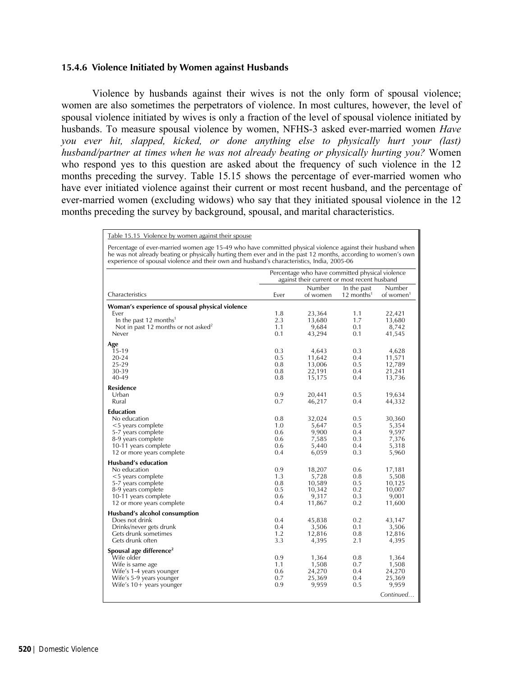### **15.4.6 Violence Initiated by Women against Husbands**

Violence by husbands against their wives is not the only form of spousal violence; women are also sometimes the perpetrators of violence. In most cultures, however, the level of spousal violence initiated by wives is only a fraction of the level of spousal violence initiated by husbands. To measure spousal violence by women, NFHS-3 asked ever-married women *Have you ever hit, slapped, kicked, or done anything else to physically hurt your (last) husband/partner at times when he was not already beating or physically hurting you?* Women who respond yes to this question are asked about the frequency of such violence in the 12 months preceding the survey. Table 15.15 shows the percentage of ever-married women who have ever initiated violence against their current or most recent husband, and the percentage of ever-married women (excluding widows) who say that they initiated spousal violence in the 12 months preceding the survey by background, spousal, and marital characteristics.

#### Table 15.15 Violence by women against their spouse

Percentage of ever-married women age 15-49 who have committed physical violence against their husband when he was not already beating or physically hurting them ever and in the past 12 months, according to women's own experience of spousal violence and their own and husband's characteristics, India, 2005-06

|                                                 |      | Percentage who have committed physical violence<br>against their current or most recent husband |                                       |                                 |
|-------------------------------------------------|------|-------------------------------------------------------------------------------------------------|---------------------------------------|---------------------------------|
| Characteristics                                 | Ever | Number<br>of women                                                                              | In the past<br>12 months <sup>1</sup> | Number<br>of women <sup>1</sup> |
| Woman's experience of spousal physical violence |      |                                                                                                 |                                       |                                 |
| Ever                                            | 1.8  | 23,364                                                                                          | 1.1                                   | 22,421                          |
| In the past 12 months <sup>1</sup>              | 2.3  | 13,680                                                                                          | 1.7                                   | 13,680                          |
| Not in past 12 months or not asked <sup>2</sup> | 1.1  | 9,684                                                                                           | 0.1                                   | 8,742                           |
| Never                                           | 0.1  | 43,294                                                                                          | 0.1                                   | 41,545                          |
| Age                                             |      |                                                                                                 |                                       |                                 |
| 15-19                                           | 0.3  | 4,643                                                                                           | 0.3                                   | 4,628                           |
| 20-24                                           | 0.5  | 11,642                                                                                          | 0.4                                   | 11,571                          |
| 25-29                                           | 0.8  | 13,006                                                                                          | 0.5                                   | 12,789                          |
| 30-39                                           | 0.8  | 22,191                                                                                          | 0.4                                   | 21,241                          |
| 40-49                                           | 0.8  | 15,175                                                                                          | 0.4                                   | 13,736                          |
| Residence                                       |      |                                                                                                 |                                       |                                 |
| Urban                                           | 0.9  | 20,441                                                                                          | 0.5                                   | 19,634                          |
| Rural                                           | 0.7  | 46,217                                                                                          | 0.4                                   | 44,332                          |
| <b>Education</b>                                |      |                                                                                                 |                                       |                                 |
| No education                                    | 0.8  | 32,024                                                                                          | 0.5                                   | 30,360                          |
| <5 years complete                               | 1.0  | 5,647                                                                                           | 0.5                                   | 5,354                           |
| 5-7 years complete                              | 0.6  | 9,900                                                                                           | 0.4                                   | 9,597                           |
| 8-9 years complete                              | 0.6  | 7,585                                                                                           | 0.3                                   | 7,376                           |
| 10-11 years complete                            | 0.6  | 5,440                                                                                           | 0.4                                   | 5,318                           |
| 12 or more years complete                       | 0.4  | 6,059                                                                                           | 0.3                                   | 5,960                           |
| <b>Husband's education</b>                      |      |                                                                                                 |                                       |                                 |
| No education                                    | 0.9  | 18,207                                                                                          | 0.6                                   | 17,181                          |
| <5 years complete                               | 1.3  | 5,728                                                                                           | 0.8                                   | 5,508                           |
| 5-7 years complete                              | 0.8  | 10,589                                                                                          | 0.5                                   | 10,125                          |
| 8-9 years complete                              | 0.5  | 10,342                                                                                          | 0.2                                   | 10,007                          |
| 10-11 years complete                            | 0.6  | 9,317                                                                                           | 0.3                                   | 9,001                           |
| 12 or more years complete                       | 0.4  | 11,867                                                                                          | 0.2                                   | 11,600                          |
| Husband's alcohol consumption                   |      |                                                                                                 |                                       |                                 |
| Does not drink                                  | 0.4  | 45,838                                                                                          | 0.2                                   | 43,147                          |
| Drinks/never gets drunk                         | 0.4  | 3,506                                                                                           | 0.1                                   | 3,506                           |
| Gets drunk sometimes                            | 1.2  | 12,816                                                                                          | 0.8                                   | 12,816                          |
| Gets drunk often                                | 3.3  | 4,395                                                                                           | 2.1                                   | 4,395                           |
| Spousal age difference <sup>2</sup>             |      |                                                                                                 |                                       |                                 |
| Wife older                                      | 0.9  | 1,364                                                                                           | 0.8                                   | 1,364                           |
| Wife is same age                                | 1.1  | 1,508                                                                                           | 0.7                                   | 1,508                           |
| Wife's 1-4 years younger                        | 0.6  | 24,270                                                                                          | 0.4                                   | 24,270                          |
| Wife's 5-9 years younger                        | 0.7  | 25,369                                                                                          | 0.4                                   | 25,369                          |
| Wife's $10+$ years younger                      | 0.9  | 9,959                                                                                           | 0.5                                   | 9,959                           |
|                                                 |      |                                                                                                 |                                       | Continued                       |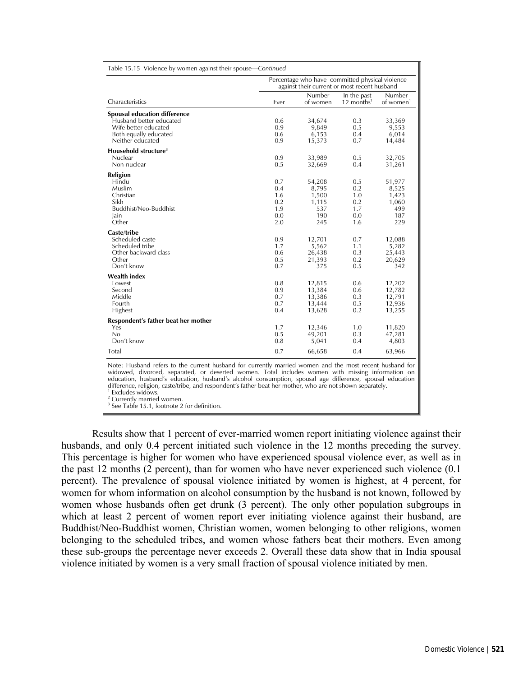|                                     |      | Percentage who have committed physical violence<br>against their current or most recent husband |                                         |                                 |
|-------------------------------------|------|-------------------------------------------------------------------------------------------------|-----------------------------------------|---------------------------------|
| Characteristics                     | Ever | Number<br>of women                                                                              | In the past<br>$12$ months <sup>1</sup> | Number<br>of women <sup>1</sup> |
| <b>Spousal education difference</b> |      |                                                                                                 |                                         |                                 |
| Husband better educated             | 0.6  | 34,674                                                                                          | 0.3                                     | 33,369                          |
| Wife better educated                | 0.9  | 9,849                                                                                           | 0.5                                     | 9,553                           |
| Both equally educated               | 0.6  | 6,153                                                                                           | 0.4                                     | 6,014                           |
| Neither educated                    | 0.9  | 15,373                                                                                          | 0.7                                     | 14,484                          |
| Household structure <sup>3</sup>    |      |                                                                                                 |                                         |                                 |
| Nuclear                             | 0.9  | 33,989                                                                                          | 0.5                                     | 32,705                          |
| Non-nuclear                         | 0.5  | 32,669                                                                                          | 0.4                                     | 31,261                          |
| Religion                            |      |                                                                                                 |                                         |                                 |
| Hindu                               | 0.7  | 54,208                                                                                          | 0.5                                     | 51,977                          |
| Muslim                              | 0.4  | 8,795                                                                                           | 0.2                                     | 8,525                           |
| Christian                           | 1.6  | 1,500                                                                                           | 1.0                                     | 1,423                           |
| Sikh                                | 0.2  | 1,115                                                                                           | 0.2                                     | 1,060                           |
| Buddhist/Neo-Buddhist               | 1.9  | 537                                                                                             | 1.7                                     | 499                             |
| lain                                | 0.0  | 190                                                                                             | 0.0                                     | 187                             |
| Other                               | 2.0  | 245                                                                                             | 1.6                                     | 229                             |
| Caste/tribe                         |      |                                                                                                 |                                         |                                 |
| Scheduled caste                     | 0.9  | 12,701                                                                                          | 0.7                                     | 12,088                          |
| Scheduled tribe                     | 1.7  | 5,562                                                                                           | 1.1                                     | 5,282                           |
| Other backward class                | 0.6  | 26,438                                                                                          | 0.3                                     | 25,443                          |
| Other                               | 0.5  | 21,393                                                                                          | 0.2                                     | 20,629                          |
| Don't know                          | 0.7  | 375                                                                                             | 0.5                                     | 342                             |
| <b>Wealth index</b>                 |      |                                                                                                 |                                         |                                 |
| Lowest                              | 0.8  | 12,815                                                                                          | 0.6                                     | 12,202                          |
| Second                              | 0.9  | 13,384                                                                                          | 0.6                                     | 12,782                          |
| Middle                              | 0.7  | 13,386                                                                                          | 0.3                                     | 12,791                          |
| Fourth                              | 0.7  | 13,444                                                                                          | 0.5                                     | 12,936                          |
| Highest                             | 0.4  | 13,628                                                                                          | 0.2                                     | 13,255                          |
| Respondent's father beat her mother |      |                                                                                                 |                                         |                                 |
| Yes                                 | 1.7  | 12,346                                                                                          | 1.0                                     | 11,820                          |
| No                                  | 0.5  | 49,201                                                                                          | 0.3                                     | 47,281                          |
| Don't know                          | 0.8  | 5,041                                                                                           | 0.4                                     | 4,803                           |
| Total                               | 0.7  | 66,658                                                                                          | 0.4                                     | 63,966                          |

widowed, divorced, separated, or deserted women. Total includes women with missing information on education, husband's education, husband's alcohol consumption, spousal age difference, spousal education difference, religion, caste/tribe, and respondent's father beat her mother, who are not shown separately. <sup>1</sup> Excludes widows.

<sup>2</sup> Currently married women.

3 See Table 15.1, footnote 2 for definition.

Results show that 1 percent of ever-married women report initiating violence against their husbands, and only 0.4 percent initiated such violence in the 12 months preceding the survey. This percentage is higher for women who have experienced spousal violence ever, as well as in the past 12 months (2 percent), than for women who have never experienced such violence (0.1 percent). The prevalence of spousal violence initiated by women is highest, at 4 percent, for women for whom information on alcohol consumption by the husband is not known, followed by women whose husbands often get drunk (3 percent). The only other population subgroups in which at least 2 percent of women report ever initiating violence against their husband, are Buddhist/Neo-Buddhist women, Christian women, women belonging to other religions, women belonging to the scheduled tribes, and women whose fathers beat their mothers. Even among these sub-groups the percentage never exceeds 2. Overall these data show that in India spousal violence initiated by women is a very small fraction of spousal violence initiated by men.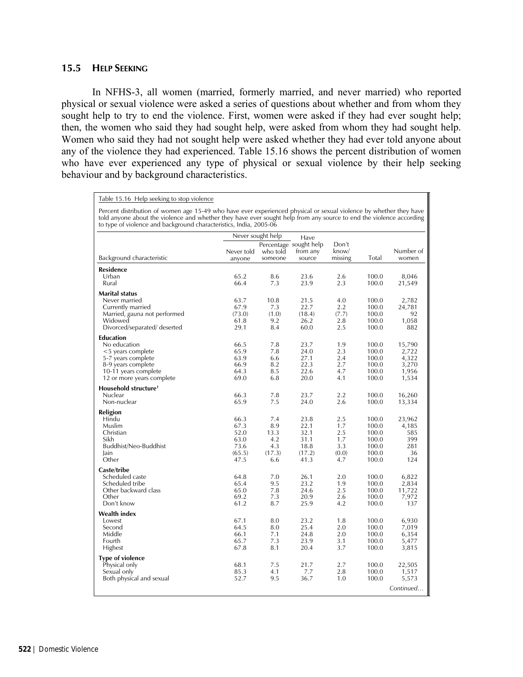## **15.5 HELP SEEKING**

In NFHS-3, all women (married, formerly married, and never married) who reported physical or sexual violence were asked a series of questions about whether and from whom they sought help to try to end the violence. First, women were asked if they had ever sought help; then, the women who said they had sought help, were asked from whom they had sought help. Women who said they had not sought help were asked whether they had ever told anyone about any of the violence they had experienced. Table 15.16 shows the percent distribution of women who have ever experienced any type of physical or sexual violence by their help seeking behaviour and by background characteristics.

Table 15.16 Help seeking to stop violence

Percent distribution of women age 15-49 who have ever experienced physical or sexual violence by whether they have told anyone about the violence and whether they have ever sought help from any source to end the violence according to type of violence and background characteristics, India, 2005-06

|                                                                                                                                                        |                                                        | Never sought help                                 | Have                                                   |                                                 |                                                             |                                                     |  |
|--------------------------------------------------------------------------------------------------------------------------------------------------------|--------------------------------------------------------|---------------------------------------------------|--------------------------------------------------------|-------------------------------------------------|-------------------------------------------------------------|-----------------------------------------------------|--|
| Background characteristic                                                                                                                              | Never told<br>anyone                                   | who told<br>someone                               | Percentage sought help<br>from any<br>source           | Don't<br>know/<br>missing                       | Total                                                       | Number of<br>women                                  |  |
| Residence<br>Urban<br>Rural                                                                                                                            | 65.2<br>66.4                                           | 8.6<br>7.3                                        | 23.6<br>23.9                                           | 2.6<br>2.3                                      | 100.0<br>100.0                                              | 8,046<br>21,549                                     |  |
| <b>Marital status</b><br>Never married<br>Currently married<br>Married, gauna not performed<br>Widowed<br>Divorced/separated/ deserted                 | 63.7<br>67.9<br>(73.0)<br>61.8<br>29.1                 | 10.8<br>7.3<br>(1.0)<br>9.2<br>8.4                | 21.5<br>22.7<br>(18.4)<br>26.2<br>60.0                 | 4.0<br>2.2<br>(7.7)<br>2.8<br>2.5               | 100.0<br>100.0<br>100.0<br>100.0<br>100.0                   | 2,782<br>24,781<br>92<br>1,058<br>882               |  |
| <b>Education</b><br>No education<br><5 years complete<br>5-7 years complete<br>8-9 years complete<br>10-11 years complete<br>12 or more years complete | 66.5<br>65.9<br>63.9<br>66.9<br>64.3<br>69.0           | 7.8<br>7.8<br>6.6<br>8.2<br>8.5<br>6.8            | 23.7<br>24.0<br>27.1<br>22.3<br>22.6<br>20.0           | 1.9<br>2.3<br>2.4<br>2.7<br>4.7<br>4.1          | 100.0<br>100.0<br>100.0<br>100.0<br>100.0<br>100.0          | 15,790<br>2,722<br>4,322<br>3,270<br>1,956<br>1,534 |  |
| Household structure <sup>1</sup><br>Nuclear<br>Non-nuclear                                                                                             | 66.3<br>65.9                                           | 7.8<br>7.5                                        | 23.7<br>24.0                                           | 2.2<br>2.6                                      | 100.0<br>100.0                                              | 16,260<br>13,334                                    |  |
| Religion<br>Hindu<br>Muslim<br>Christian<br>Sikh<br>Buddhist/Neo-Buddhist<br>lain<br>Other                                                             | 66.3<br>67.3<br>52.0<br>63.0<br>73.6<br>(65.5)<br>47.5 | 7.4<br>8.9<br>13.3<br>4.2<br>4.3<br>(17.3)<br>6.6 | 23.8<br>22.1<br>32.1<br>31.1<br>18.8<br>(17.2)<br>41.3 | 2.5<br>1.7<br>2.5<br>1.7<br>3.3<br>(0.0)<br>4.7 | 100.0<br>100.0<br>100.0<br>100.0<br>100.0<br>100.0<br>100.0 | 23,962<br>4,185<br>585<br>399<br>281<br>36<br>124   |  |
| Caste/tribe<br>Scheduled caste<br>Scheduled tribe<br>Other backward class<br>Other<br>Don't know                                                       | 64.8<br>65.4<br>65.0<br>69.2<br>61.2                   | 7.0<br>9.5<br>7.8<br>7.3<br>8.7                   | 26.1<br>23.2<br>24.6<br>20.9<br>25.9                   | 2.0<br>1.9<br>2.5<br>2.6<br>4.2                 | 100.0<br>100.0<br>100.0<br>100.0<br>100.0                   | 6,822<br>2,834<br>11,722<br>7,972<br>137            |  |
| Wealth index<br>Lowest<br>Second<br>Middle<br>Fourth<br>Highest                                                                                        | 67.1<br>64.5<br>66.1<br>65.7<br>67.8                   | 8.0<br>8.0<br>7.1<br>7.3<br>8.1                   | 23.2<br>25.4<br>24.8<br>23.9<br>20.4                   | 1.8<br>2.0<br>2.0<br>3.1<br>3.7                 | 100.0<br>100.0<br>100.0<br>100.0<br>100.0                   | 6,930<br>7,019<br>6,354<br>5,477<br>3,815           |  |
| <b>Type of violence</b><br>Physical only<br>Sexual only<br>Both physical and sexual                                                                    | 68.1<br>85.3<br>52.7                                   | 7.5<br>4.1<br>9.5                                 | 21.7<br>7.7<br>36.7                                    | 2.7<br>2.8<br>1.0                               | 100.0<br>100.0<br>100.0                                     | 22,505<br>1,517<br>5,573<br>Continued               |  |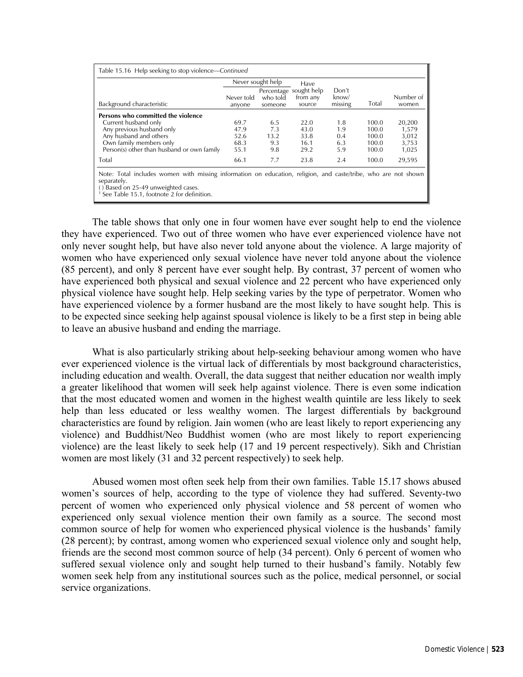|                                                                                                                                                                                                                    |                      | Never sought help   | Have                                         |                           |       |                    |
|--------------------------------------------------------------------------------------------------------------------------------------------------------------------------------------------------------------------|----------------------|---------------------|----------------------------------------------|---------------------------|-------|--------------------|
| Background characteristic                                                                                                                                                                                          | Never told<br>anyone | who told<br>someone | Percentage sought help<br>from any<br>source | Don't<br>know/<br>missing | Total | Number of<br>women |
| Persons who committed the violence                                                                                                                                                                                 |                      |                     |                                              |                           |       |                    |
| Current husband only                                                                                                                                                                                               | 69.7                 | 6.5                 | 22.0                                         | 1.8                       | 100.0 | 20,200             |
| Any previous husband only                                                                                                                                                                                          | 47.9                 | 7.3                 | 43.0                                         | 1.9                       | 100.0 | 1,579              |
| Any husband and others                                                                                                                                                                                             | 52.6                 | 13.2                | 33.8                                         | 0.4                       | 100.0 | 3,012              |
| Own family members only                                                                                                                                                                                            | 68.3                 | 9.3                 | 16.1                                         | 6.3                       | 100.0 | 3,753              |
| Person(s) other than husband or own family                                                                                                                                                                         | 55.1                 | 9.8                 | 29.2                                         | 5.9                       | 100.0 | 1,025              |
| Total                                                                                                                                                                                                              | 66.1                 | 7.7                 | 23.8                                         | 2.4                       | 100.0 | 29,595             |
| Note: Total includes women with missing information on education, religion, and caste/tribe, who are not shown<br>separately.<br>() Based on 25-49 unweighted cases.<br>See Table 15.1, footnote 2 for definition. |                      |                     |                                              |                           |       |                    |

The table shows that only one in four women have ever sought help to end the violence they have experienced. Two out of three women who have ever experienced violence have not only never sought help, but have also never told anyone about the violence. A large majority of women who have experienced only sexual violence have never told anyone about the violence (85 percent), and only 8 percent have ever sought help. By contrast, 37 percent of women who have experienced both physical and sexual violence and 22 percent who have experienced only physical violence have sought help. Help seeking varies by the type of perpetrator. Women who have experienced violence by a former husband are the most likely to have sought help. This is to be expected since seeking help against spousal violence is likely to be a first step in being able to leave an abusive husband and ending the marriage.

What is also particularly striking about help-seeking behaviour among women who have ever experienced violence is the virtual lack of differentials by most background characteristics, including education and wealth. Overall, the data suggest that neither education nor wealth imply a greater likelihood that women will seek help against violence. There is even some indication that the most educated women and women in the highest wealth quintile are less likely to seek help than less educated or less wealthy women. The largest differentials by background characteristics are found by religion. Jain women (who are least likely to report experiencing any violence) and Buddhist/Neo Buddhist women (who are most likely to report experiencing violence) are the least likely to seek help (17 and 19 percent respectively). Sikh and Christian women are most likely (31 and 32 percent respectively) to seek help.

 Abused women most often seek help from their own families. Table 15.17 shows abused women's sources of help, according to the type of violence they had suffered. Seventy-two percent of women who experienced only physical violence and 58 percent of women who experienced only sexual violence mention their own family as a source. The second most common source of help for women who experienced physical violence is the husbands' family (28 percent); by contrast, among women who experienced sexual violence only and sought help, friends are the second most common source of help (34 percent). Only 6 percent of women who suffered sexual violence only and sought help turned to their husband's family. Notably few women seek help from any institutional sources such as the police, medical personnel, or social service organizations.